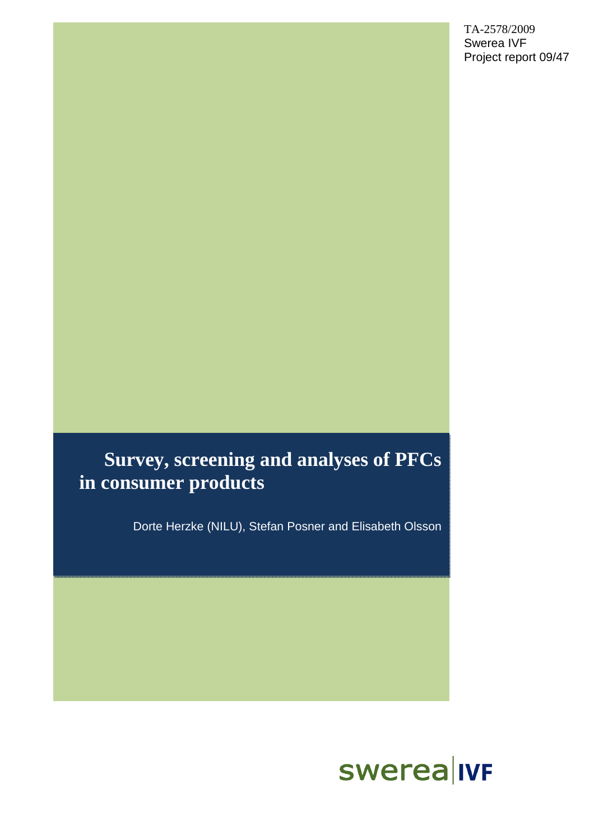TA-2578/2009 Swerea IVF Project report 09/47

**Survey, screening and analyses of PFCs in consumer products** 

Dorte Herzke (NILU), Stefan Posner and Elisabeth Olsson

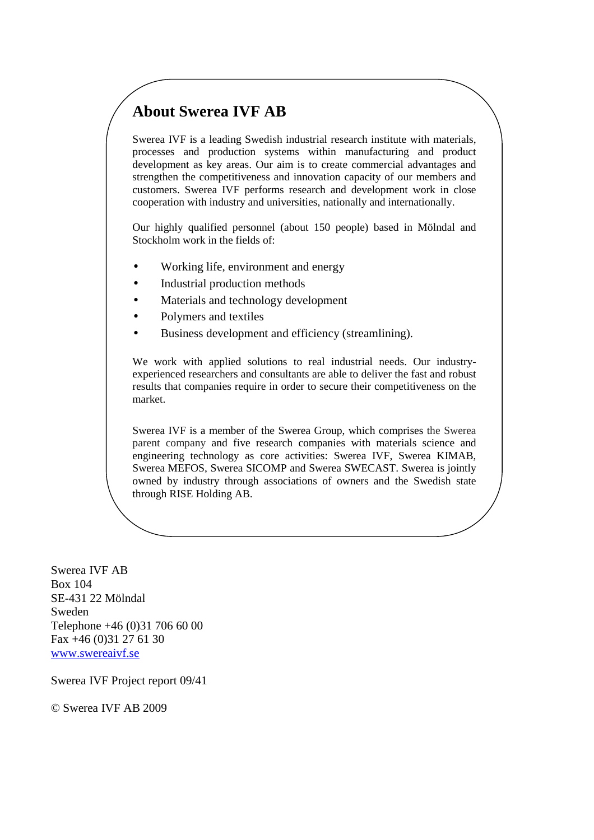## **About Swerea IVF AB**

Swerea IVF is a leading Swedish industrial research institute with materials, processes and production systems within manufacturing and product development as key areas. Our aim is to create commercial advantages and strengthen the competitiveness and innovation capacity of our members and customers. Swerea IVF performs research and development work in close cooperation with industry and universities, nationally and internationally.

Our highly qualified personnel (about 150 people) based in Mölndal and Stockholm work in the fields of:

- Working life, environment and energy
- Industrial production methods
- Materials and technology development
- Polymers and textiles
- Business development and efficiency (streamlining).

We work with applied solutions to real industrial needs. Our industryexperienced researchers and consultants are able to deliver the fast and robust results that companies require in order to secure their competitiveness on the market.

Swerea IVF is a member of the Swerea Group, which comprises the Swerea parent company and five research companies with materials science and engineering technology as core activities: Swerea IVF, Swerea KIMAB, Swerea MEFOS, Swerea SICOMP and Swerea SWECAST. Swerea is jointly owned by industry through associations of owners and the Swedish state through RISE Holding AB.

Swerea IVF AB Box 104 SE-431 22 Mölndal Sweden Telephone +46 (0)31 706 60 00 Fax +46 (0)31 27 61 30 www.swereaivf.se

Swerea IVF Project report 09/41

© Swerea IVF AB 2009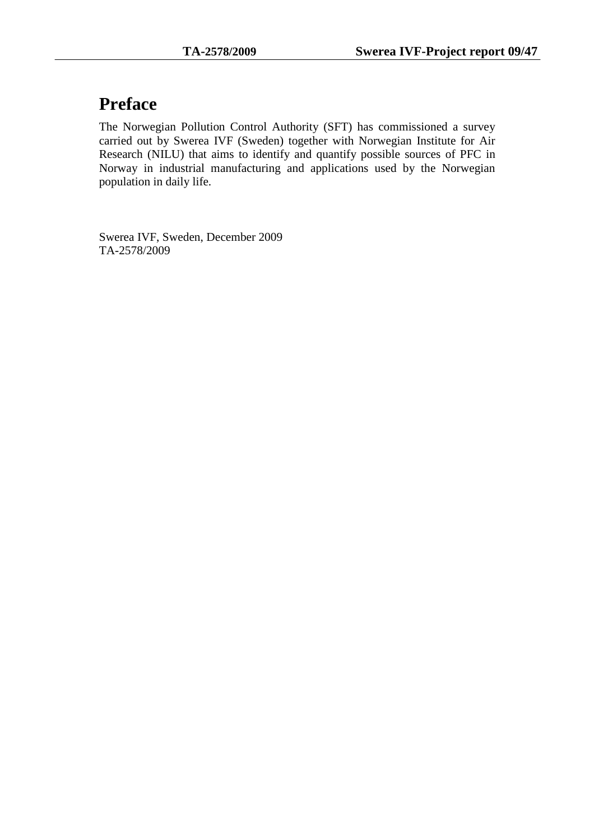## **Preface**

The Norwegian Pollution Control Authority (SFT) has commissioned a survey carried out by Swerea IVF (Sweden) together with Norwegian Institute for Air Research (NILU) that aims to identify and quantify possible sources of PFC in Norway in industrial manufacturing and applications used by the Norwegian population in daily life.

Swerea IVF, Sweden, December 2009 TA-2578/2009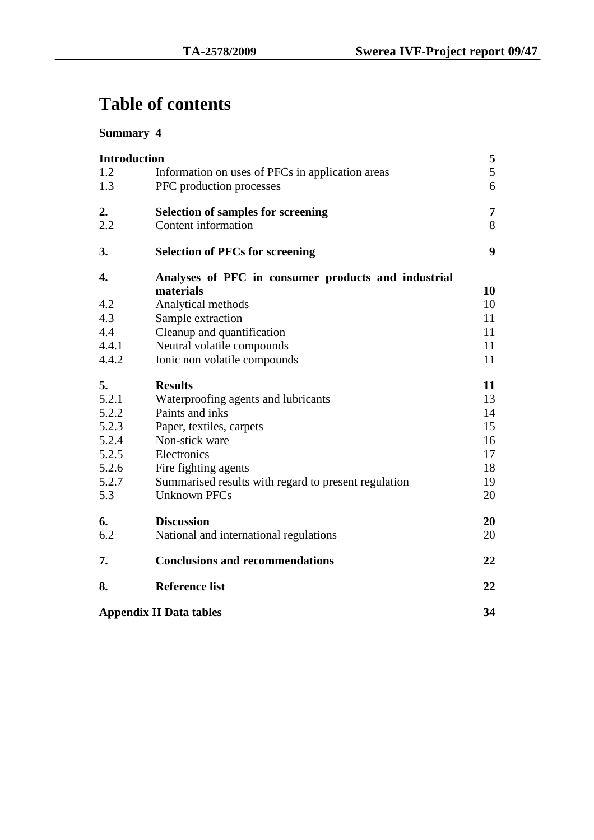# **Table of contents**

| <b>Summary 4</b> |  |
|------------------|--|
|------------------|--|

| <b>Introduction</b>            |                                                      | 5  |
|--------------------------------|------------------------------------------------------|----|
| 1.2                            | Information on uses of PFCs in application areas     | 5  |
| 1.3                            | PFC production processes                             | 6  |
| 2.                             | <b>Selection of samples for screening</b>            | 7  |
| 2.2                            | Content information                                  | 8  |
| 3.                             | <b>Selection of PFCs for screening</b>               | 9  |
| 4.                             | Analyses of PFC in consumer products and industrial  |    |
|                                | materials                                            | 10 |
| 4.2                            | Analytical methods                                   | 10 |
| 4.3                            | Sample extraction                                    | 11 |
| 4.4                            | Cleanup and quantification                           | 11 |
| 4.4.1                          | Neutral volatile compounds                           | 11 |
| 4.4.2                          | Ionic non volatile compounds                         | 11 |
| 5.                             | <b>Results</b>                                       | 11 |
| 5.2.1                          | Waterproofing agents and lubricants                  | 13 |
| 5.2.2                          | Paints and inks                                      | 14 |
| 5.2.3                          | Paper, textiles, carpets                             | 15 |
| 5.2.4                          | Non-stick ware                                       | 16 |
| 5.2.5                          | Electronics                                          | 17 |
| 5.2.6                          | Fire fighting agents                                 | 18 |
| 5.2.7                          | Summarised results with regard to present regulation | 19 |
| 5.3                            | <b>Unknown PFCs</b>                                  | 20 |
| 6.                             | <b>Discussion</b>                                    | 20 |
| 6.2                            | National and international regulations               | 20 |
| 7.                             | <b>Conclusions and recommendations</b>               | 22 |
| 8.                             | <b>Reference list</b>                                | 22 |
| <b>Appendix II Data tables</b> |                                                      | 34 |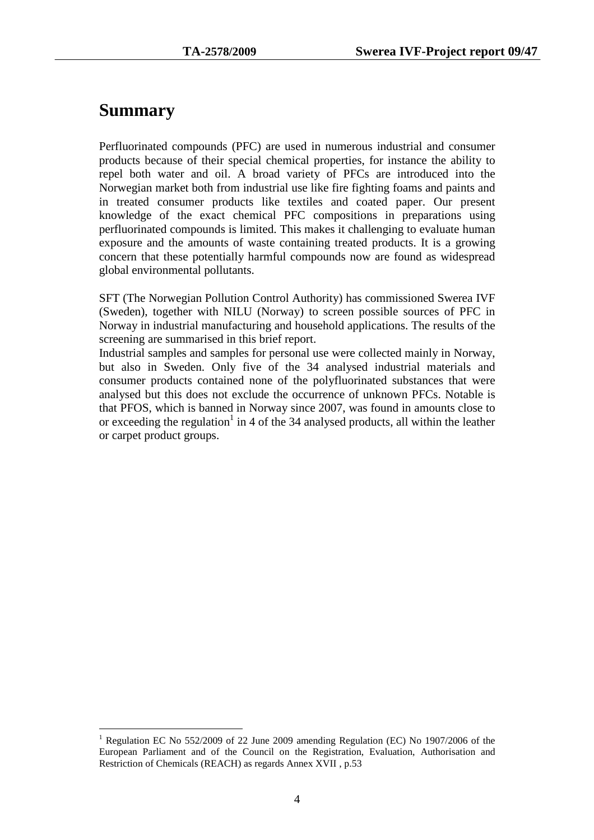## **Summary**

 $\overline{a}$ 

Perfluorinated compounds (PFC) are used in numerous industrial and consumer products because of their special chemical properties, for instance the ability to repel both water and oil. A broad variety of PFCs are introduced into the Norwegian market both from industrial use like fire fighting foams and paints and in treated consumer products like textiles and coated paper. Our present knowledge of the exact chemical PFC compositions in preparations using perfluorinated compounds is limited. This makes it challenging to evaluate human exposure and the amounts of waste containing treated products. It is a growing concern that these potentially harmful compounds now are found as widespread global environmental pollutants.

SFT (The Norwegian Pollution Control Authority) has commissioned Swerea IVF (Sweden), together with NILU (Norway) to screen possible sources of PFC in Norway in industrial manufacturing and household applications. The results of the screening are summarised in this brief report.

Industrial samples and samples for personal use were collected mainly in Norway, but also in Sweden. Only five of the 34 analysed industrial materials and consumer products contained none of the polyfluorinated substances that were analysed but this does not exclude the occurrence of unknown PFCs. Notable is that PFOS, which is banned in Norway since 2007, was found in amounts close to or exceeding the regulation<sup>1</sup> in 4 of the 34 analysed products, all within the leather or carpet product groups.

<sup>1</sup> Regulation EC No 552/2009 of 22 June 2009 amending Regulation (EC) No 1907/2006 of the European Parliament and of the Council on the Registration, Evaluation, Authorisation and Restriction of Chemicals (REACH) as regards Annex XVII , p.53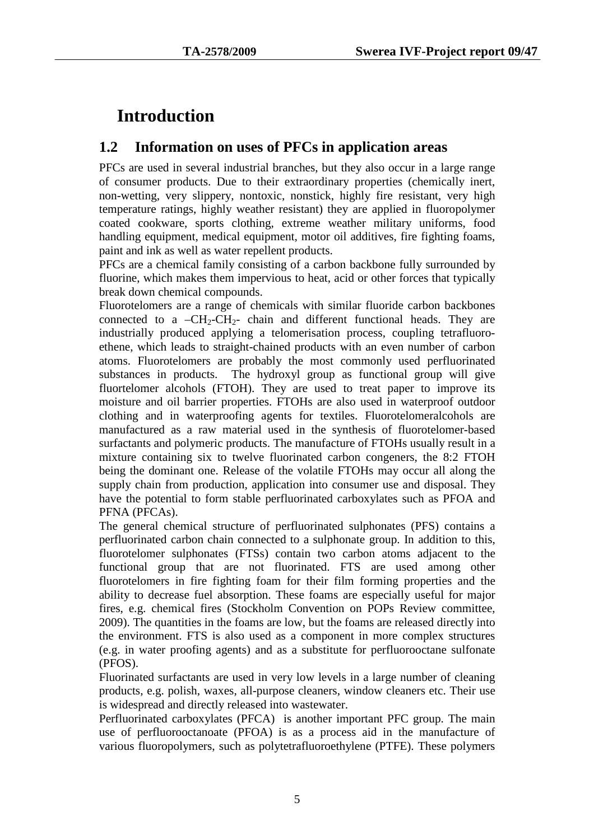# **Introduction**

### **1.2 Information on uses of PFCs in application areas**

PFCs are used in several industrial branches, but they also occur in a large range of consumer products. Due to their extraordinary properties (chemically inert, non-wetting, very slippery, nontoxic, nonstick, highly fire resistant, very high temperature ratings, highly weather resistant) they are applied in fluoropolymer coated cookware, sports clothing, extreme weather military uniforms, food handling equipment, medical equipment, motor oil additives, fire fighting foams, paint and ink as well as water repellent products.

PFCs are a chemical family consisting of a carbon backbone fully surrounded by fluorine, which makes them impervious to heat, acid or other forces that typically break down chemical compounds.

Fluorotelomers are a range of chemicals with similar fluoride carbon backbones connected to a  $-CH_2-CH_2$ - chain and different functional heads. They are industrially produced applying a telomerisation process, coupling tetrafluoroethene, which leads to straight-chained products with an even number of carbon atoms. Fluorotelomers are probably the most commonly used perfluorinated substances in products. The hydroxyl group as functional group will give fluortelomer alcohols (FTOH). They are used to treat paper to improve its moisture and oil barrier properties. FTOHs are also used in waterproof outdoor clothing and in waterproofing agents for textiles. Fluorotelomeralcohols are manufactured as a raw material used in the synthesis of fluorotelomer-based surfactants and polymeric products. The manufacture of FTOHs usually result in a mixture containing six to twelve fluorinated carbon congeners, the 8:2 FTOH being the dominant one. Release of the volatile FTOHs may occur all along the supply chain from production, application into consumer use and disposal. They have the potential to form stable perfluorinated carboxylates such as PFOA and PFNA (PFCAs).

The general chemical structure of perfluorinated sulphonates (PFS) contains a perfluorinated carbon chain connected to a sulphonate group. In addition to this, fluorotelomer sulphonates (FTSs) contain two carbon atoms adjacent to the functional group that are not fluorinated. FTS are used among other fluorotelomers in fire fighting foam for their film forming properties and the ability to decrease fuel absorption. These foams are especially useful for major fires, e.g. chemical fires (Stockholm Convention on POPs Review committee, 2009). The quantities in the foams are low, but the foams are released directly into the environment. FTS is also used as a component in more complex structures (e.g. in water proofing agents) and as a substitute for perfluorooctane sulfonate (PFOS).

Fluorinated surfactants are used in very low levels in a large number of cleaning products, e.g. polish, waxes, all-purpose cleaners, window cleaners etc. Their use is widespread and directly released into wastewater.

Perfluorinated carboxylates (PFCA) is another important PFC group. The main use of perfluorooctanoate (PFOA) is as a process aid in the manufacture of various fluoropolymers, such as polytetrafluoroethylene (PTFE). These polymers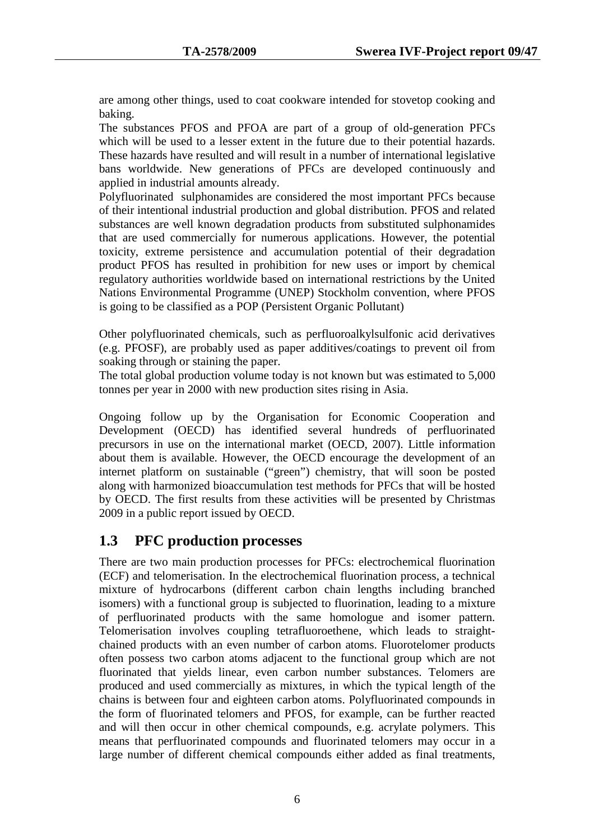are among other things, used to coat cookware intended for stovetop cooking and baking.

The substances PFOS and PFOA are part of a group of old-generation PFCs which will be used to a lesser extent in the future due to their potential hazards. These hazards have resulted and will result in a number of international legislative bans worldwide. New generations of PFCs are developed continuously and applied in industrial amounts already.

Polyfluorinated sulphonamides are considered the most important PFCs because of their intentional industrial production and global distribution. PFOS and related substances are well known degradation products from substituted sulphonamides that are used commercially for numerous applications. However, the potential toxicity, extreme persistence and accumulation potential of their degradation product PFOS has resulted in prohibition for new uses or import by chemical regulatory authorities worldwide based on international restrictions by the United Nations Environmental Programme (UNEP) Stockholm convention, where PFOS is going to be classified as a POP (Persistent Organic Pollutant)

Other polyfluorinated chemicals, such as perfluoroalkylsulfonic acid derivatives (e.g. PFOSF), are probably used as paper additives/coatings to prevent oil from soaking through or staining the paper.

The total global production volume today is not known but was estimated to 5,000 tonnes per year in 2000 with new production sites rising in Asia.

Ongoing follow up by the Organisation for Economic Cooperation and Development (OECD) has identified several hundreds of perfluorinated precursors in use on the international market (OECD, 2007). Little information about them is available. However, the OECD encourage the development of an internet platform on sustainable ("green") chemistry, that will soon be posted along with harmonized bioaccumulation test methods for PFCs that will be hosted by OECD. The first results from these activities will be presented by Christmas 2009 in a public report issued by OECD.

### **1.3 PFC production processes**

There are two main production processes for PFCs: electrochemical fluorination (ECF) and telomerisation. In the electrochemical fluorination process, a technical mixture of hydrocarbons (different carbon chain lengths including branched isomers) with a functional group is subjected to fluorination, leading to a mixture of perfluorinated products with the same homologue and isomer pattern. Telomerisation involves coupling tetrafluoroethene, which leads to straightchained products with an even number of carbon atoms. Fluorotelomer products often possess two carbon atoms adjacent to the functional group which are not fluorinated that yields linear, even carbon number substances. Telomers are produced and used commercially as mixtures, in which the typical length of the chains is between four and eighteen carbon atoms. Polyfluorinated compounds in the form of fluorinated telomers and PFOS, for example, can be further reacted and will then occur in other chemical compounds, e.g. acrylate polymers. This means that perfluorinated compounds and fluorinated telomers may occur in a large number of different chemical compounds either added as final treatments,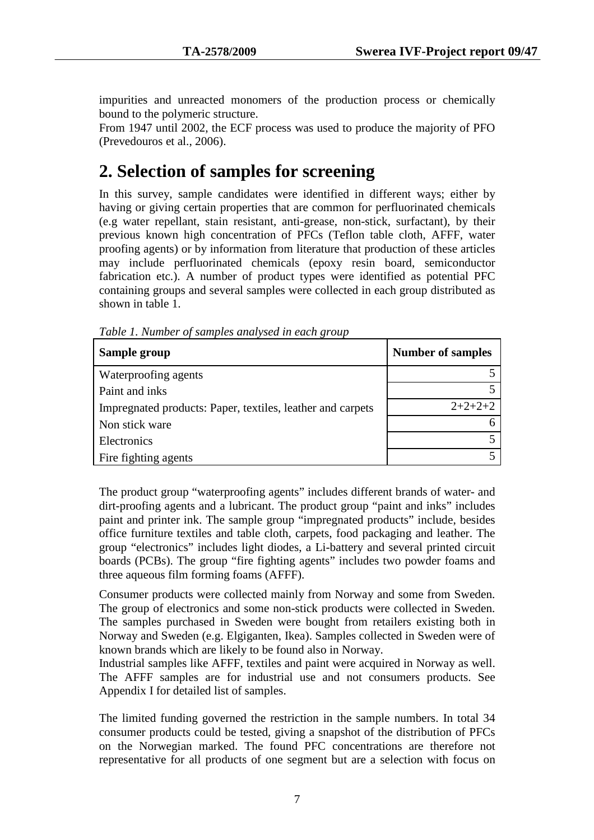impurities and unreacted monomers of the production process or chemically bound to the polymeric structure.

From 1947 until 2002, the ECF process was used to produce the majority of PFO (Prevedouros et al., 2006).

## **2. Selection of samples for screening**

In this survey, sample candidates were identified in different ways; either by having or giving certain properties that are common for perfluorinated chemicals (e.g water repellant, stain resistant, anti-grease, non-stick, surfactant), by their previous known high concentration of PFCs (Teflon table cloth, AFFF, water proofing agents) or by information from literature that production of these articles may include perfluorinated chemicals (epoxy resin board, semiconductor fabrication etc.). A number of product types were identified as potential PFC containing groups and several samples were collected in each group distributed as shown in table 1.

| Sample group                                               | <b>Number of samples</b> |
|------------------------------------------------------------|--------------------------|
| Waterproofing agents                                       |                          |
| Paint and inks                                             |                          |
| Impregnated products: Paper, textiles, leather and carpets | $2+2+2+2$                |
| Non stick ware                                             |                          |
| Electronics                                                |                          |
| Fire fighting agents                                       |                          |

*Table 1. Number of samples analysed in each group* 

The product group "waterproofing agents" includes different brands of water- and dirt-proofing agents and a lubricant. The product group "paint and inks" includes paint and printer ink. The sample group "impregnated products" include, besides office furniture textiles and table cloth, carpets, food packaging and leather. The group "electronics" includes light diodes, a Li-battery and several printed circuit boards (PCBs). The group "fire fighting agents" includes two powder foams and three aqueous film forming foams (AFFF).

Consumer products were collected mainly from Norway and some from Sweden. The group of electronics and some non-stick products were collected in Sweden. The samples purchased in Sweden were bought from retailers existing both in Norway and Sweden (e.g. Elgiganten, Ikea). Samples collected in Sweden were of known brands which are likely to be found also in Norway.

Industrial samples like AFFF, textiles and paint were acquired in Norway as well. The AFFF samples are for industrial use and not consumers products. See Appendix I for detailed list of samples.

The limited funding governed the restriction in the sample numbers. In total 34 consumer products could be tested, giving a snapshot of the distribution of PFCs on the Norwegian marked. The found PFC concentrations are therefore not representative for all products of one segment but are a selection with focus on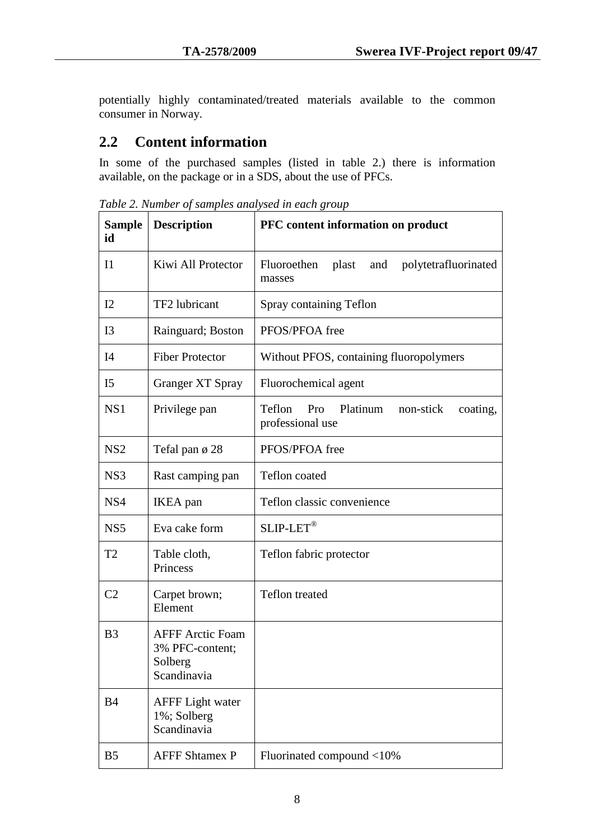potentially highly contaminated/treated materials available to the common consumer in Norway.

### **2.2 Content information**

In some of the purchased samples (listed in table 2.) there is information available, on the package or in a SDS, about the use of PFCs.

| <b>Sample</b><br>id    | e abre 2. France. Of samples analysea in caen group<br><b>Description</b> | PFC content information on product                                  |
|------------------------|---------------------------------------------------------------------------|---------------------------------------------------------------------|
| $\mathop{\mathrm{I1}}$ | Kiwi All Protector                                                        | plast and polytetrafluorinated<br>Fluoroethen<br>masses             |
| I2                     | TF2 lubricant                                                             | Spray containing Teflon                                             |
| <b>I3</b>              | Rainguard; Boston                                                         | PFOS/PFOA free                                                      |
| $I$ 4                  | <b>Fiber Protector</b>                                                    | Without PFOS, containing fluoropolymers                             |
| I <sub>5</sub>         | Granger XT Spray                                                          | Fluorochemical agent                                                |
| NS1                    | Privilege pan                                                             | Teflon<br>Pro<br>Platinum non-stick<br>coating,<br>professional use |
| NS <sub>2</sub>        | Tefal pan $\phi$ 28                                                       | PFOS/PFOA free                                                      |
| NS3                    | Rast camping pan                                                          | Teflon coated                                                       |
| NS4                    | <b>IKEA</b> pan                                                           | Teflon classic convenience                                          |
| NS <sub>5</sub>        | Eva cake form                                                             | SLIP-LET <sup>®</sup>                                               |
| T <sub>2</sub>         | Table cloth,<br>Princess                                                  | Teflon fabric protector                                             |
| C <sub>2</sub>         | Carpet brown;<br>Element                                                  | Teflon treated                                                      |
| B <sub>3</sub>         | <b>AFFF Arctic Foam</b><br>3% PFC-content;<br>Solberg<br>Scandinavia      |                                                                     |
| <b>B4</b>              | <b>AFFF</b> Light water<br>1%; Solberg<br>Scandinavia                     |                                                                     |
| B <sub>5</sub>         | <b>AFFF Shtamex P</b>                                                     | Fluorinated compound <10%                                           |

*Table 2. Number of samples analysed in each group*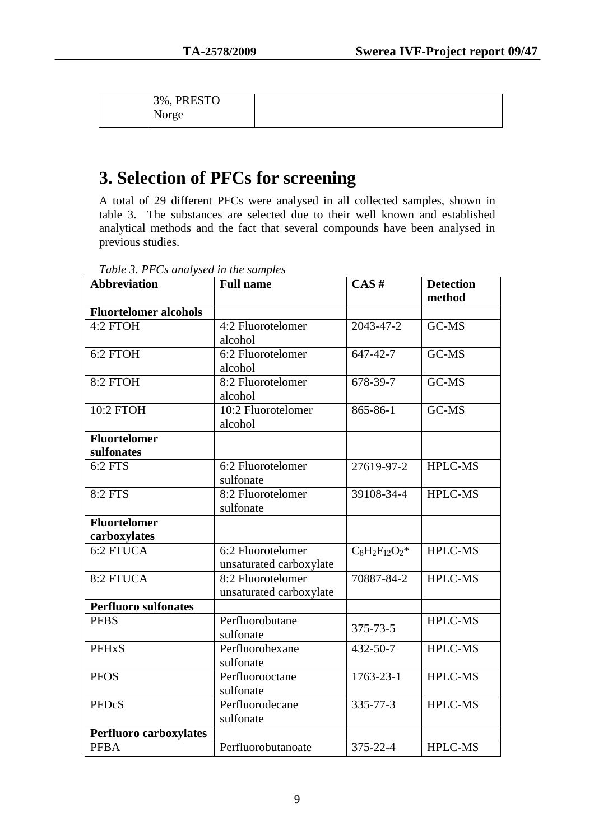| 3%, PRESTO |  |
|------------|--|
| Norge      |  |

## **3. Selection of PFCs for screening**

A total of 29 different PFCs were analysed in all collected samples, shown in table 3. The substances are selected due to their well known and established analytical methods and the fact that several compounds have been analysed in previous studies.

| <b>Full name</b>        | CAS#                                                                     | <b>Detection</b>                                |
|-------------------------|--------------------------------------------------------------------------|-------------------------------------------------|
|                         |                                                                          | method                                          |
|                         |                                                                          |                                                 |
|                         |                                                                          | $GC-M\overline{S}$                              |
|                         |                                                                          |                                                 |
|                         |                                                                          | GC-MS                                           |
| alcohol                 |                                                                          |                                                 |
| 8:2 Fluorotelomer       | 678-39-7                                                                 | GC-MS                                           |
| alcohol                 |                                                                          |                                                 |
| 10:2 Fluorotelomer      | 865-86-1                                                                 | GC-MS                                           |
| alcohol                 |                                                                          |                                                 |
|                         |                                                                          |                                                 |
|                         |                                                                          |                                                 |
| 6:2 Fluorotelomer       | 27619-97-2                                                               | <b>HPLC-MS</b>                                  |
| sulfonate               |                                                                          |                                                 |
| 8:2 Fluorotelomer       | 39108-34-4                                                               | <b>HPLC-MS</b>                                  |
| sulfonate               |                                                                          |                                                 |
|                         |                                                                          |                                                 |
|                         |                                                                          |                                                 |
| 6:2 Fluorotelomer       | $C_8H_2F_{12}O_2*$                                                       | HPLC-MS                                         |
| unsaturated carboxylate |                                                                          |                                                 |
|                         |                                                                          | <b>HPLC-MS</b>                                  |
| unsaturated carboxylate |                                                                          |                                                 |
|                         |                                                                          |                                                 |
| Perfluorobutane         |                                                                          | <b>HPLC-MS</b>                                  |
| sulfonate               |                                                                          |                                                 |
| Perfluorohexane         | 432-50-7                                                                 | <b>HPLC-MS</b>                                  |
| sulfonate               |                                                                          |                                                 |
| Perfluorooctane         | $1763 - 23 - 1$                                                          | <b>HPLC-MS</b>                                  |
| sulfonate               |                                                                          |                                                 |
| Perfluorodecane         | 335-77-3                                                                 | <b>HPLC-MS</b>                                  |
| sulfonate               |                                                                          |                                                 |
|                         |                                                                          |                                                 |
| Perfluorobutanoate      | 375-22-4                                                                 | <b>HPLC-MS</b>                                  |
|                         | 4:2 Fluorotelomer<br>alcohol<br>6:2 Fluorotelomer<br>$8:2$ Fluorotelomer | 2043-47-2<br>647-42-7<br>70887-84-2<br>375-73-5 |

*Table 3. PFCs analysed in the samples*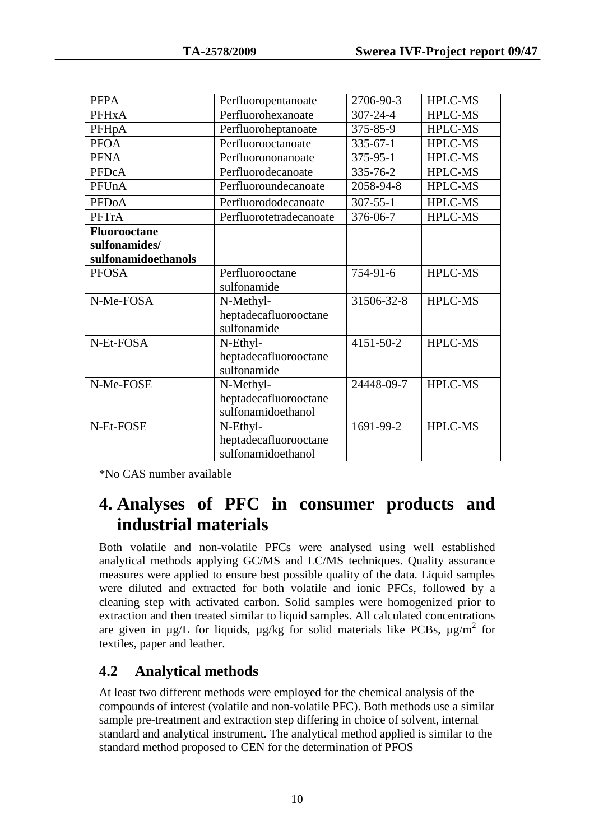| <b>PFPA</b>                                                 | Perfluoropentanoate                                      | 2706-90-3      | HPLC-MS        |
|-------------------------------------------------------------|----------------------------------------------------------|----------------|----------------|
| <b>PFHxA</b>                                                | Perfluorohexanoate                                       | $307 - 24 - 4$ | <b>HPLC-MS</b> |
| PFH <sub>p</sub> A                                          | Perfluoroheptanoate                                      | 375-85-9       | <b>HPLC-MS</b> |
| <b>PFOA</b>                                                 | Perfluorooctanoate                                       | $335 - 67 - 1$ | <b>HPLC-MS</b> |
| <b>PFNA</b>                                                 | Perfluorononanoate                                       | $375 - 95 - 1$ | <b>HPLC-MS</b> |
| PFDcA                                                       | Perfluorodecanoate                                       | 335-76-2       | <b>HPLC-MS</b> |
| PFUnA                                                       | Perfluoroundecanoate                                     | 2058-94-8      | <b>HPLC-MS</b> |
| <b>PFDoA</b>                                                | Perfluorododecanoate                                     | $307 - 55 - 1$ | HPLC-MS        |
| PFTrA                                                       | Perfluorotetradecanoate                                  | 376-06-7       | <b>HPLC-MS</b> |
| <b>Fluorooctane</b><br>sulfonamides/<br>sulfonamidoethanols |                                                          |                |                |
| <b>PFOSA</b>                                                | Perfluorooctane<br>sulfonamide                           | 754-91-6       | <b>HPLC-MS</b> |
| N-Me-FOSA                                                   | N-Methyl-<br>heptadecafluorooctane<br>sulfonamide        | 31506-32-8     | <b>HPLC-MS</b> |
| N-Et-FOSA                                                   | N-Ethyl-<br>heptadecafluorooctane<br>sulfonamide         | 4151-50-2      | <b>HPLC-MS</b> |
| N-Me-FOSE                                                   | N-Methyl-<br>heptadecafluorooctane<br>sulfonamidoethanol | 24448-09-7     | <b>HPLC-MS</b> |
| N-Et-FOSE                                                   | N-Ethyl-<br>heptadecafluorooctane<br>sulfonamidoethanol  | 1691-99-2      | <b>HPLC-MS</b> |

\*No CAS number available

## **4. Analyses of PFC in consumer products and industrial materials**

Both volatile and non-volatile PFCs were analysed using well established analytical methods applying GC/MS and LC/MS techniques. Quality assurance measures were applied to ensure best possible quality of the data. Liquid samples were diluted and extracted for both volatile and ionic PFCs, followed by a cleaning step with activated carbon. Solid samples were homogenized prior to extraction and then treated similar to liquid samples. All calculated concentrations are given in  $\mu$ g/L for liquids,  $\mu$ g/kg for solid materials like PCBs,  $\mu$ g/m<sup>2</sup> for textiles, paper and leather.

## **4.2 Analytical methods**

At least two different methods were employed for the chemical analysis of the compounds of interest (volatile and non-volatile PFC). Both methods use a similar sample pre-treatment and extraction step differing in choice of solvent, internal standard and analytical instrument. The analytical method applied is similar to the standard method proposed to CEN for the determination of PFOS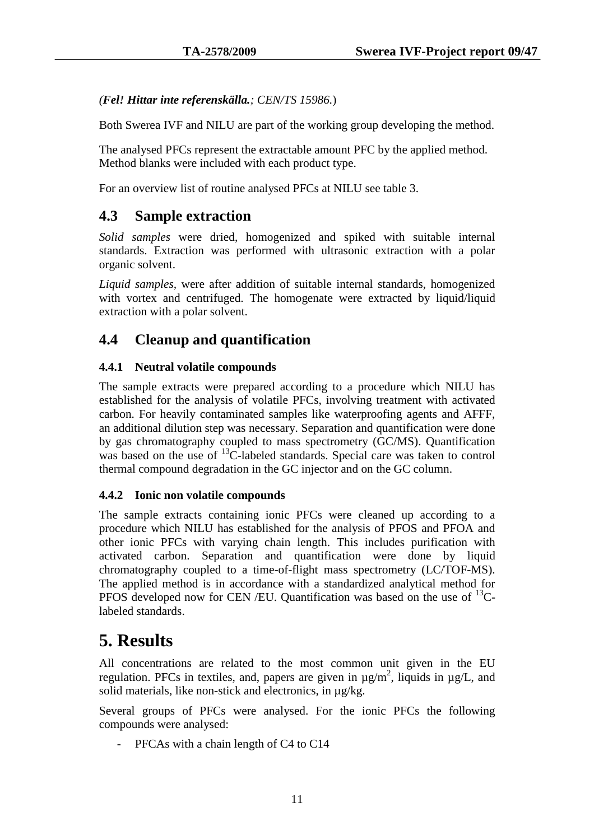*(Fel! Hittar inte referenskälla.; CEN/TS 15986.*)

Both Swerea IVF and NILU are part of the working group developing the method.

The analysed PFCs represent the extractable amount PFC by the applied method. Method blanks were included with each product type.

For an overview list of routine analysed PFCs at NILU see table 3.

### **4.3 Sample extraction**

*Solid samples* were dried, homogenized and spiked with suitable internal standards. Extraction was performed with ultrasonic extraction with a polar organic solvent.

*Liquid samples,* were after addition of suitable internal standards, homogenized with vortex and centrifuged. The homogenate were extracted by liquid/liquid extraction with a polar solvent.

### **4.4 Cleanup and quantification**

#### **4.4.1 Neutral volatile compounds**

The sample extracts were prepared according to a procedure which NILU has established for the analysis of volatile PFCs, involving treatment with activated carbon. For heavily contaminated samples like waterproofing agents and AFFF, an additional dilution step was necessary. Separation and quantification were done by gas chromatography coupled to mass spectrometry (GC/MS). Quantification was based on the use of  $^{13}$ C-labeled standards. Special care was taken to control thermal compound degradation in the GC injector and on the GC column.

#### **4.4.2 Ionic non volatile compounds**

The sample extracts containing ionic PFCs were cleaned up according to a procedure which NILU has established for the analysis of PFOS and PFOA and other ionic PFCs with varying chain length. This includes purification with activated carbon. Separation and quantification were done by liquid chromatography coupled to a time-of-flight mass spectrometry (LC/TOF-MS). The applied method is in accordance with a standardized analytical method for PFOS developed now for CEN /EU. Quantification was based on the use of  $^{13}C$ labeled standards.

## **5. Results**

All concentrations are related to the most common unit given in the EU regulation. PFCs in textiles, and, papers are given in  $\mu$ g/m<sup>2</sup>, liquids in  $\mu$ g/L, and solid materials, like non-stick and electronics, in  $\mu$ g/kg.

Several groups of PFCs were analysed. For the ionic PFCs the following compounds were analysed:

PFCAs with a chain length of C4 to C14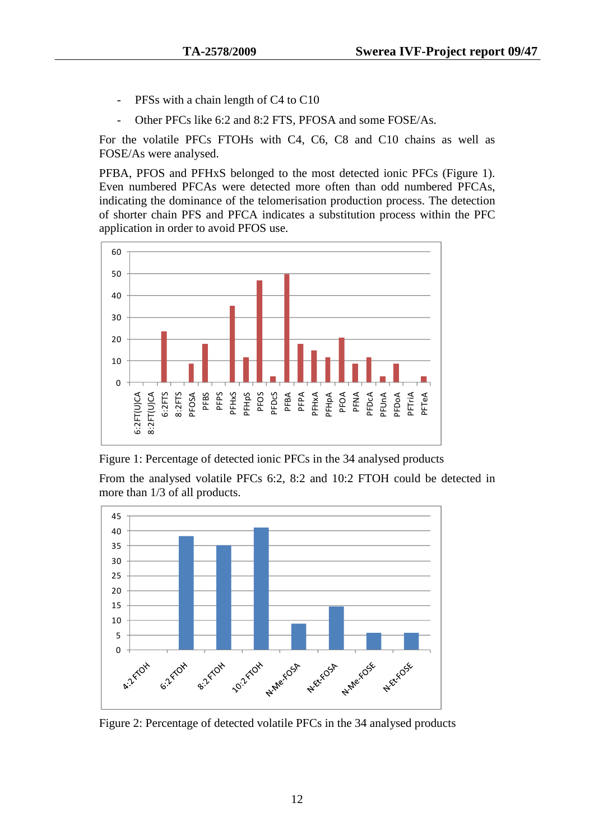- PFSs with a chain length of C4 to C10
- Other PFCs like 6:2 and 8:2 FTS, PFOSA and some FOSE/As.

For the volatile PFCs FTOHs with C4, C6, C8 and C10 chains as well as FOSE/As were analysed.

PFBA, PFOS and PFHxS belonged to the most detected ionic PFCs (Figure 1). Even numbered PFCAs were detected more often than odd numbered PFCAs, indicating the dominance of the telomerisation production process. The detection of shorter chain PFS and PFCA indicates a substitution process within the PFC application in order to avoid PFOS use.



Figure 1: Percentage of detected ionic PFCs in the 34 analysed products

From the analysed volatile PFCs 6:2, 8:2 and 10:2 FTOH could be detected in more than 1/3 of all products.



Figure 2: Percentage of detected volatile PFCs in the 34 analysed products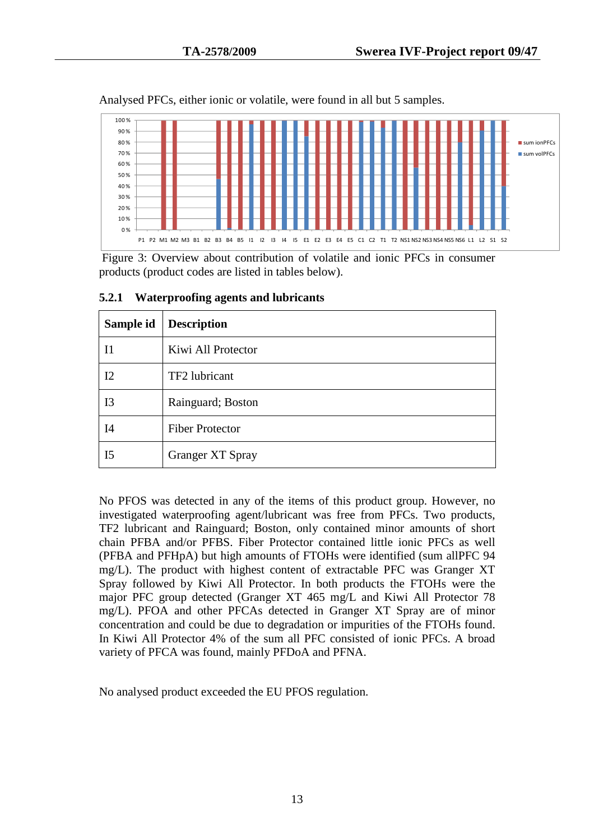

Analysed PFCs, either ionic or volatile, were found in all but 5 samples.

 Figure 3: Overview about contribution of volatile and ionic PFCs in consumer products (product codes are listed in tables below).

| Sample id      | <b>Description</b>     |
|----------------|------------------------|
| I <sub>1</sub> | Kiwi All Protector     |
| I2             | TF2 lubricant          |
| I3             | Rainguard; Boston      |
| I <sub>4</sub> | <b>Fiber Protector</b> |
| I <sub>5</sub> | Granger XT Spray       |

#### **5.2.1 Waterproofing agents and lubricants**

No PFOS was detected in any of the items of this product group. However, no investigated waterproofing agent/lubricant was free from PFCs. Two products, TF2 lubricant and Rainguard; Boston, only contained minor amounts of short chain PFBA and/or PFBS. Fiber Protector contained little ionic PFCs as well (PFBA and PFHpA) but high amounts of FTOHs were identified (sum allPFC 94 mg/L). The product with highest content of extractable PFC was Granger XT Spray followed by Kiwi All Protector. In both products the FTOHs were the major PFC group detected (Granger XT 465 mg/L and Kiwi All Protector 78 mg/L). PFOA and other PFCAs detected in Granger XT Spray are of minor concentration and could be due to degradation or impurities of the FTOHs found. In Kiwi All Protector 4% of the sum all PFC consisted of ionic PFCs. A broad variety of PFCA was found, mainly PFDoA and PFNA.

No analysed product exceeded the EU PFOS regulation.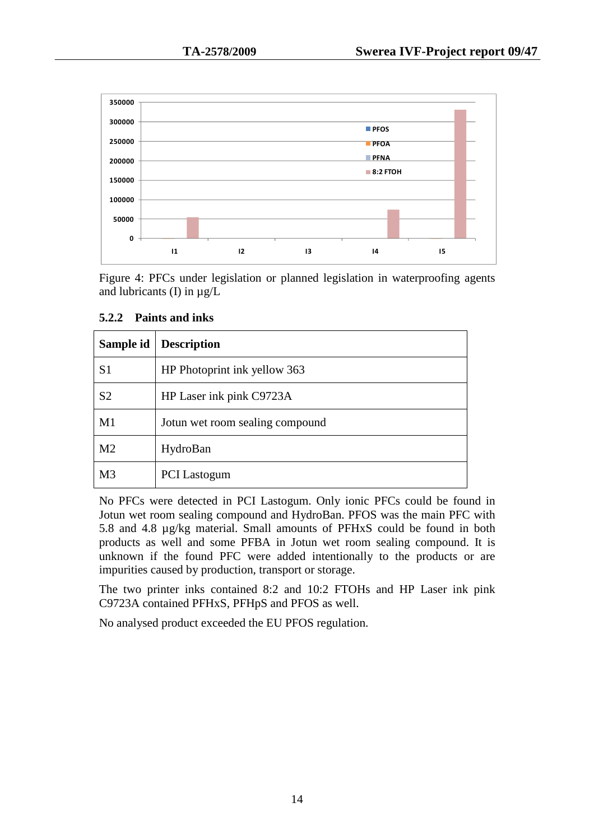

Figure 4: PFCs under legislation or planned legislation in waterproofing agents and lubricants (I) in  $\mu$ g/L

| Sample id      | <b>Description</b>              |
|----------------|---------------------------------|
| S <sub>1</sub> | HP Photoprint ink yellow 363    |
| S <sub>2</sub> | HP Laser ink pink C9723A        |
| M1             | Jotun wet room sealing compound |
| M <sub>2</sub> | HydroBan                        |
| M <sub>3</sub> | <b>PCI</b> Lastogum             |

#### **5.2.2 Paints and inks**

No PFCs were detected in PCI Lastogum. Only ionic PFCs could be found in Jotun wet room sealing compound and HydroBan. PFOS was the main PFC with 5.8 and 4.8 µg/kg material. Small amounts of PFHxS could be found in both products as well and some PFBA in Jotun wet room sealing compound. It is unknown if the found PFC were added intentionally to the products or are impurities caused by production, transport or storage.

The two printer inks contained 8:2 and 10:2 FTOHs and HP Laser ink pink C9723A contained PFHxS, PFHpS and PFOS as well.

No analysed product exceeded the EU PFOS regulation.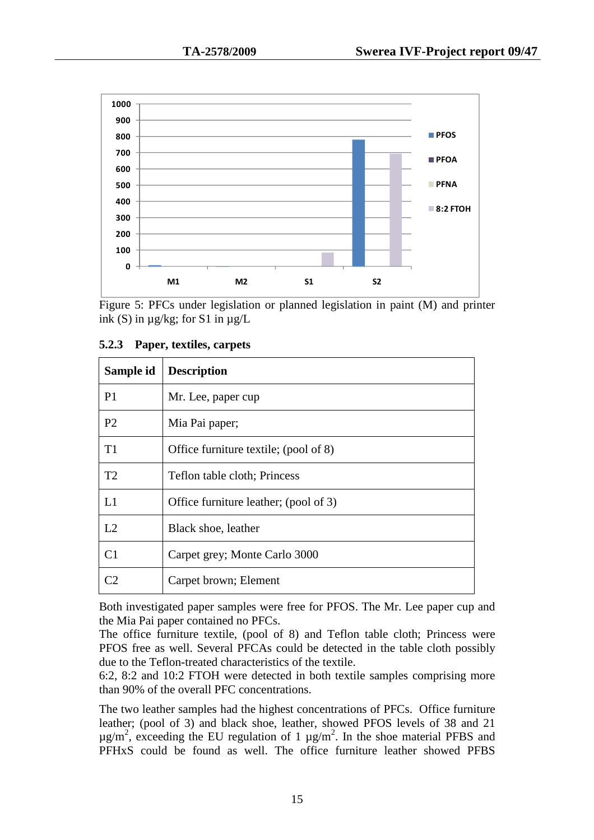

Figure 5: PFCs under legislation or planned legislation in paint (M) and printer ink (S) in  $\mu$ g/kg; for S1 in  $\mu$ g/L

| Sample id      | <b>Description</b>                    |
|----------------|---------------------------------------|
| P <sub>1</sub> | Mr. Lee, paper cup                    |
| P <sub>2</sub> | Mia Pai paper;                        |
| T1             | Office furniture textile; (pool of 8) |
| T <sub>2</sub> | Teflon table cloth; Princess          |
| L1             | Office furniture leather; (pool of 3) |
| L <sub>2</sub> | Black shoe, leather                   |
| C <sub>1</sub> | Carpet grey; Monte Carlo 3000         |
|                | Carpet brown; Element                 |

#### **5.2.3 Paper, textiles, carpets**

Both investigated paper samples were free for PFOS. The Mr. Lee paper cup and the Mia Pai paper contained no PFCs.

The office furniture textile, (pool of 8) and Teflon table cloth; Princess were PFOS free as well. Several PFCAs could be detected in the table cloth possibly due to the Teflon-treated characteristics of the textile.

6:2, 8:2 and 10:2 FTOH were detected in both textile samples comprising more than 90% of the overall PFC concentrations.

The two leather samples had the highest concentrations of PFCs. Office furniture leather; (pool of 3) and black shoe, leather, showed PFOS levels of 38 and 21  $\mu$ g/m<sup>2</sup>, exceeding the EU regulation of 1  $\mu$ g/m<sup>2</sup>. In the shoe material PFBS and PFHxS could be found as well. The office furniture leather showed PFBS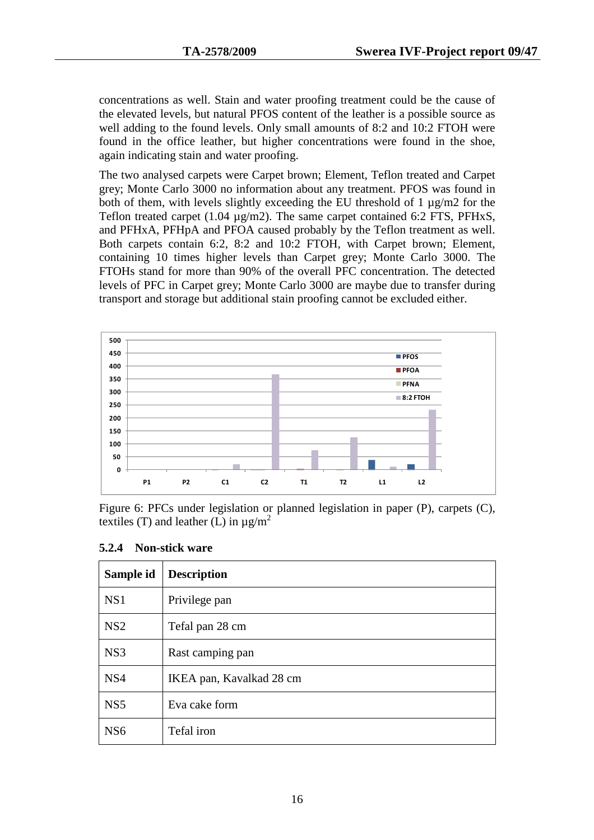concentrations as well. Stain and water proofing treatment could be the cause of the elevated levels, but natural PFOS content of the leather is a possible source as well adding to the found levels. Only small amounts of 8:2 and 10:2 FTOH were found in the office leather, but higher concentrations were found in the shoe, again indicating stain and water proofing.

The two analysed carpets were Carpet brown; Element, Teflon treated and Carpet grey; Monte Carlo 3000 no information about any treatment. PFOS was found in both of them, with levels slightly exceeding the EU threshold of 1 µg/m2 for the Teflon treated carpet (1.04 µg/m2). The same carpet contained 6:2 FTS, PFHxS, and PFHxA, PFHpA and PFOA caused probably by the Teflon treatment as well. Both carpets contain 6:2, 8:2 and 10:2 FTOH, with Carpet brown; Element, containing 10 times higher levels than Carpet grey; Monte Carlo 3000. The FTOHs stand for more than 90% of the overall PFC concentration. The detected levels of PFC in Carpet grey; Monte Carlo 3000 are maybe due to transfer during transport and storage but additional stain proofing cannot be excluded either.



Figure 6: PFCs under legislation or planned legislation in paper (P), carpets (C), textiles (T) and leather (L) in  $\mu$ g/m<sup>2</sup>

| Sample id       | <b>Description</b>       |
|-----------------|--------------------------|
| NS <sub>1</sub> | Privilege pan            |
| NS <sub>2</sub> | Tefal pan 28 cm          |
| NS <sub>3</sub> | Rast camping pan         |
| NS4             | IKEA pan, Kavalkad 28 cm |
| NS <sub>5</sub> | Eva cake form            |
| NS <sub>6</sub> | Tefal iron               |

#### **5.2.4 Non-stick ware**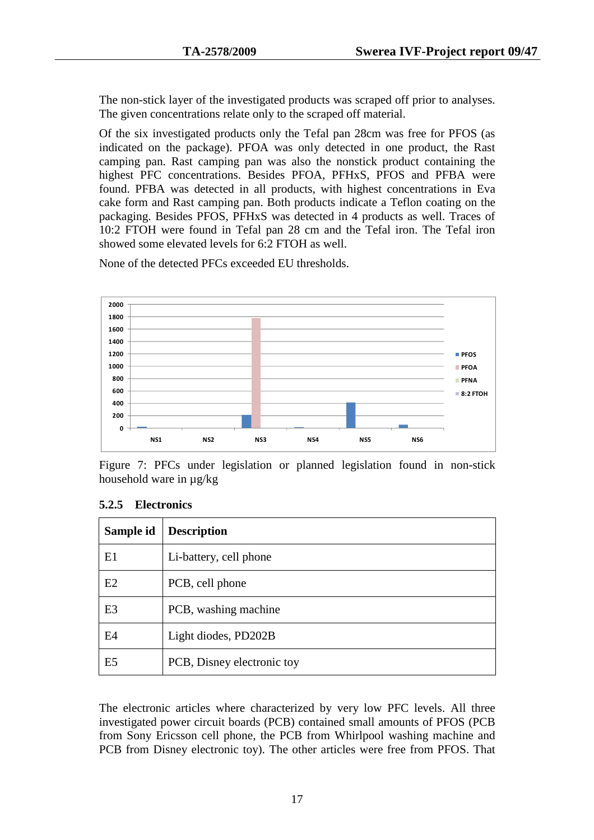The non-stick layer of the investigated products was scraped off prior to analyses. The given concentrations relate only to the scraped off material.

Of the six investigated products only the Tefal pan 28cm was free for PFOS (as indicated on the package). PFOA was only detected in one product, the Rast camping pan. Rast camping pan was also the nonstick product containing the highest PFC concentrations. Besides PFOA, PFHxS, PFOS and PFBA were found. PFBA was detected in all products, with highest concentrations in Eva cake form and Rast camping pan. Both products indicate a Teflon coating on the packaging. Besides PFOS, PFHxS was detected in 4 products as well. Traces of 10:2 FTOH were found in Tefal pan 28 cm and the Tefal iron. The Tefal iron showed some elevated levels for 6:2 FTOH as well.

None of the detected PFCs exceeded EU thresholds.



Figure 7: PFCs under legislation or planned legislation found in non-stick household ware in µg/kg

#### **5.2.5 Electronics**

| Sample id      | <b>Description</b>         |
|----------------|----------------------------|
| E1             | Li-battery, cell phone     |
| E2             | PCB, cell phone            |
| E <sub>3</sub> | PCB, washing machine       |
| E4             | Light diodes, PD202B       |
| E <sub>5</sub> | PCB, Disney electronic toy |

The electronic articles where characterized by very low PFC levels. All three investigated power circuit boards (PCB) contained small amounts of PFOS (PCB from Sony Ericsson cell phone, the PCB from Whirlpool washing machine and PCB from Disney electronic toy). The other articles were free from PFOS. That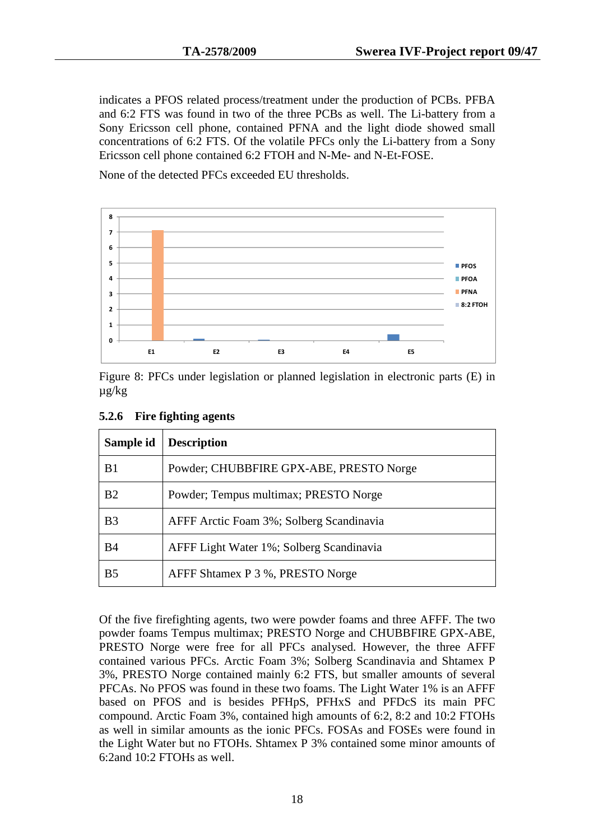indicates a PFOS related process/treatment under the production of PCBs. PFBA and 6:2 FTS was found in two of the three PCBs as well. The Li-battery from a Sony Ericsson cell phone, contained PFNA and the light diode showed small concentrations of 6:2 FTS. Of the volatile PFCs only the Li-battery from a Sony Ericsson cell phone contained 6:2 FTOH and N-Me- and N-Et-FOSE.

None of the detected PFCs exceeded EU thresholds.



Figure 8: PFCs under legislation or planned legislation in electronic parts (E) in µg/kg

| Sample id      | <b>Description</b>                       |
|----------------|------------------------------------------|
| B <sub>1</sub> | Powder; CHUBBFIRE GPX-ABE, PRESTO Norge  |
| B <sub>2</sub> | Powder; Tempus multimax; PRESTO Norge    |
| B <sub>3</sub> | AFFF Arctic Foam 3%; Solberg Scandinavia |
| B4             | AFFF Light Water 1%; Solberg Scandinavia |
| B <sub>5</sub> | AFFF Shtamex P 3 %, PRESTO Norge         |

#### **5.2.6 Fire fighting agents**

Of the five firefighting agents, two were powder foams and three AFFF. The two powder foams Tempus multimax; PRESTO Norge and CHUBBFIRE GPX-ABE, PRESTO Norge were free for all PFCs analysed. However, the three AFFF contained various PFCs. Arctic Foam 3%; Solberg Scandinavia and Shtamex P 3%, PRESTO Norge contained mainly 6:2 FTS, but smaller amounts of several PFCAs. No PFOS was found in these two foams. The Light Water 1% is an AFFF based on PFOS and is besides PFHpS, PFHxS and PFDcS its main PFC compound. Arctic Foam 3%, contained high amounts of 6:2, 8:2 and 10:2 FTOHs as well in similar amounts as the ionic PFCs. FOSAs and FOSEs were found in the Light Water but no FTOHs. Shtamex P 3% contained some minor amounts of 6:2and 10:2 FTOHs as well.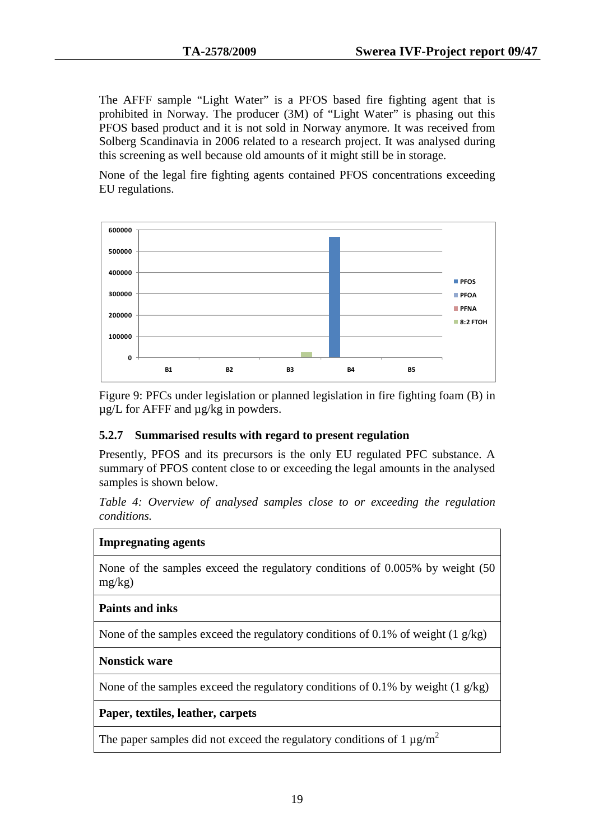The AFFF sample "Light Water" is a PFOS based fire fighting agent that is prohibited in Norway. The producer (3M) of "Light Water" is phasing out this PFOS based product and it is not sold in Norway anymore. It was received from Solberg Scandinavia in 2006 related to a research project. It was analysed during this screening as well because old amounts of it might still be in storage.

None of the legal fire fighting agents contained PFOS concentrations exceeding EU regulations.



Figure 9: PFCs under legislation or planned legislation in fire fighting foam (B) in µg/L for AFFF and µg/kg in powders.

#### **5.2.7 Summarised results with regard to present regulation**

Presently, PFOS and its precursors is the only EU regulated PFC substance. A summary of PFOS content close to or exceeding the legal amounts in the analysed samples is shown below.

*Table 4: Overview of analysed samples close to or exceeding the regulation conditions.*

| <b>Impregnating agents</b>                                                                |
|-------------------------------------------------------------------------------------------|
| None of the samples exceed the regulatory conditions of 0.005% by weight (50<br>$mg/kg$ ) |
| Paints and inks                                                                           |
| None of the samples exceed the regulatory conditions of 0.1% of weight (1 $g/kg$ )        |
| <b>Nonstick ware</b>                                                                      |
| None of the samples exceed the regulatory conditions of 0.1% by weight (1 $g/kg$ )        |

#### **Paper, textiles, leather, carpets**

The paper samples did not exceed the regulatory conditions of 1  $\mu$ g/m<sup>2</sup>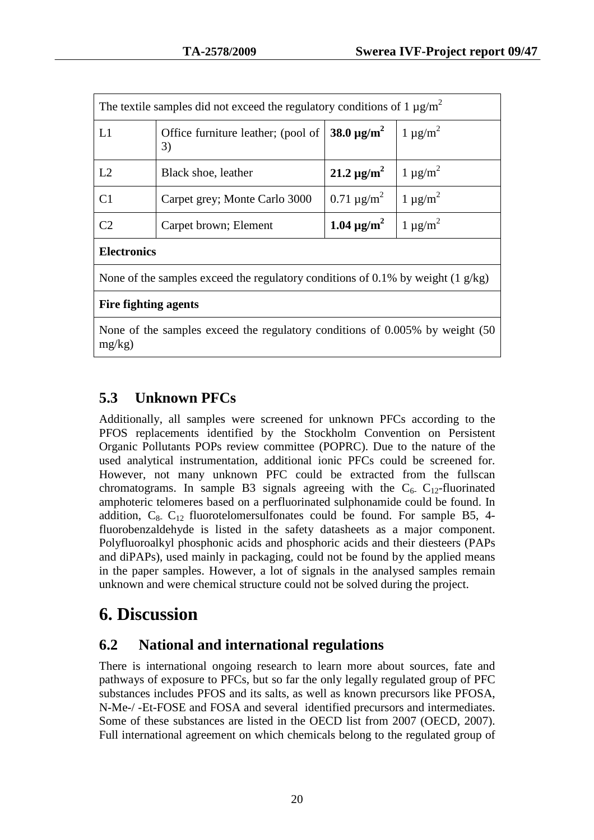| The textile samples did not exceed the regulatory conditions of 1 $\mu$ g/m <sup>2</sup>  |                                          |                             |               |  |
|-------------------------------------------------------------------------------------------|------------------------------------------|-----------------------------|---------------|--|
| L1                                                                                        | Office furniture leather; (pool of<br>3) | 38.0 $\mu$ g/m <sup>2</sup> | $1 \mu g/m^2$ |  |
| 21.2 $\mu$ g/m <sup>2</sup><br>$1 \mu g/m^2$<br>L2<br>Black shoe, leather                 |                                          |                             |               |  |
| C <sub>1</sub>                                                                            | Carpet grey; Monte Carlo 3000            | 0.71 $\mu$ g/m <sup>2</sup> | $1 \mu g/m^2$ |  |
| $1 \mu g/m^2$<br>1.04 $\mu$ g/m <sup>2</sup><br>C <sub>2</sub><br>Carpet brown; Element   |                                          |                             |               |  |
| <b>Electronics</b>                                                                        |                                          |                             |               |  |
| None of the samples exceed the regulatory conditions of 0.1% by weight (1 $g/kg$ )        |                                          |                             |               |  |
| <b>Fire fighting agents</b>                                                               |                                          |                             |               |  |
| None of the samples exceed the regulatory conditions of 0.005% by weight (50<br>$mg/kg$ ) |                                          |                             |               |  |

## **5.3 Unknown PFCs**

Additionally, all samples were screened for unknown PFCs according to the PFOS replacements identified by the Stockholm Convention on Persistent Organic Pollutants POPs review committee (POPRC). Due to the nature of the used analytical instrumentation, additional ionic PFCs could be screened for. However, not many unknown PFC could be extracted from the fullscan chromatograms. In sample B3 signals agreeing with the  $C_6$ -  $C_{12}$ -fluorinated amphoteric telomeres based on a perfluorinated sulphonamide could be found. In addition,  $C_8$ .  $C_{12}$  fluorotelomersulfonates could be found. For sample B5, 4fluorobenzaldehyde is listed in the safety datasheets as a major component. Polyfluoroalkyl phosphonic acids and phosphoric acids and their diesteers (PAPs and diPAPs), used mainly in packaging, could not be found by the applied means in the paper samples. However, a lot of signals in the analysed samples remain unknown and were chemical structure could not be solved during the project.

# **6. Discussion**

## **6.2 National and international regulations**

There is international ongoing research to learn more about sources, fate and pathways of exposure to PFCs, but so far the only legally regulated group of PFC substances includes PFOS and its salts, as well as known precursors like PFOSA, N-Me-/ -Et-FOSE and FOSA and several identified precursors and intermediates. Some of these substances are listed in the OECD list from 2007 (OECD, 2007). Full international agreement on which chemicals belong to the regulated group of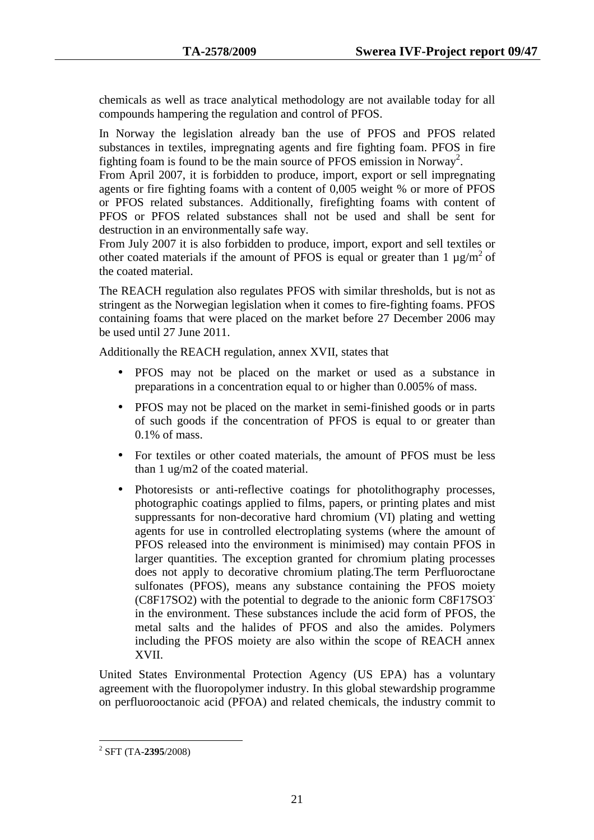chemicals as well as trace analytical methodology are not available today for all compounds hampering the regulation and control of PFOS.

In Norway the legislation already ban the use of PFOS and PFOS related substances in textiles, impregnating agents and fire fighting foam. PFOS in fire fighting foam is found to be the main source of PFOS emission in Norway<sup>2</sup>.

From April 2007, it is forbidden to produce, import, export or sell impregnating agents or fire fighting foams with a content of 0,005 weight % or more of PFOS or PFOS related substances. Additionally, firefighting foams with content of PFOS or PFOS related substances shall not be used and shall be sent for destruction in an environmentally safe way.

From July 2007 it is also forbidden to produce, import, export and sell textiles or other coated materials if the amount of PFOS is equal or greater than 1  $\mu$ g/m<sup>2</sup> of the coated material.

The REACH regulation also regulates PFOS with similar thresholds, but is not as stringent as the Norwegian legislation when it comes to fire-fighting foams. PFOS containing foams that were placed on the market before 27 December 2006 may be used until 27 June 2011.

Additionally the REACH regulation, annex XVII, states that

- PFOS may not be placed on the market or used as a substance in preparations in a concentration equal to or higher than 0.005% of mass.
- PFOS may not be placed on the market in semi-finished goods or in parts of such goods if the concentration of PFOS is equal to or greater than 0.1% of mass.
- For textiles or other coated materials, the amount of PFOS must be less than 1 ug/m2 of the coated material.
- Photoresists or anti-reflective coatings for photolithography processes, photographic coatings applied to films, papers, or printing plates and mist suppressants for non-decorative hard chromium (VI) plating and wetting agents for use in controlled electroplating systems (where the amount of PFOS released into the environment is minimised) may contain PFOS in larger quantities. The exception granted for chromium plating processes does not apply to decorative chromium plating.The term Perfluoroctane sulfonates (PFOS), means any substance containing the PFOS moiety (C8F17SO2) with the potential to degrade to the anionic form C8F17SO3 in the environment. These substances include the acid form of PFOS, the metal salts and the halides of PFOS and also the amides. Polymers including the PFOS moiety are also within the scope of REACH annex XVII.

United States Environmental Protection Agency (US EPA) has a voluntary agreement with the fluoropolymer industry. In this global stewardship programme on perfluorooctanoic acid (PFOA) and related chemicals, the industry commit to

 $\overline{a}$ 

<sup>2</sup> SFT (TA-**2395**/2008)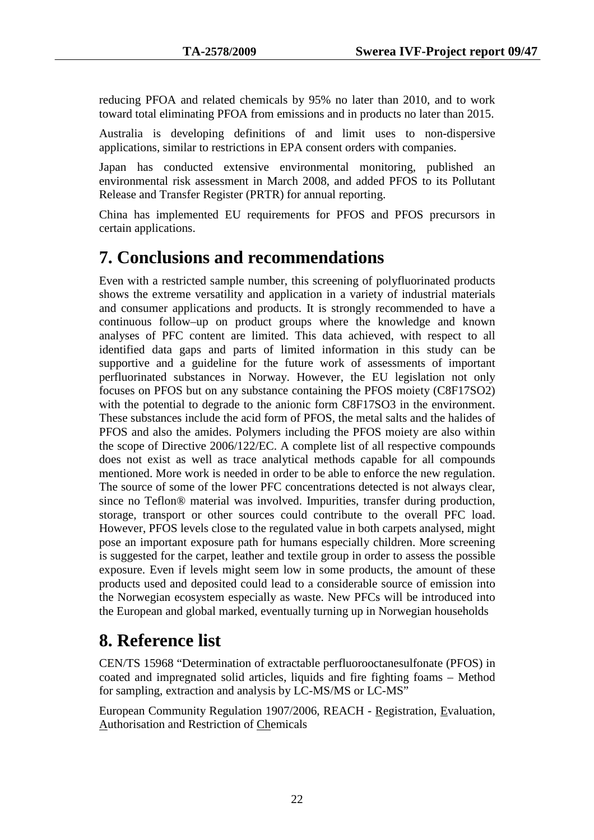reducing PFOA and related chemicals by 95% no later than 2010, and to work toward total eliminating PFOA from emissions and in products no later than 2015.

Australia is developing definitions of and limit uses to non-dispersive applications, similar to restrictions in EPA consent orders with companies.

Japan has conducted extensive environmental monitoring, published an environmental risk assessment in March 2008, and added PFOS to its Pollutant Release and Transfer Register (PRTR) for annual reporting.

China has implemented EU requirements for PFOS and PFOS precursors in certain applications.

## **7. Conclusions and recommendations**

Even with a restricted sample number, this screening of polyfluorinated products shows the extreme versatility and application in a variety of industrial materials and consumer applications and products. It is strongly recommended to have a continuous follow–up on product groups where the knowledge and known analyses of PFC content are limited. This data achieved, with respect to all identified data gaps and parts of limited information in this study can be supportive and a guideline for the future work of assessments of important perfluorinated substances in Norway. However, the EU legislation not only focuses on PFOS but on any substance containing the PFOS moiety (C8F17SO2) with the potential to degrade to the anionic form C8F17SO3 in the environment. These substances include the acid form of PFOS, the metal salts and the halides of PFOS and also the amides. Polymers including the PFOS moiety are also within the scope of Directive 2006/122/EC. A complete list of all respective compounds does not exist as well as trace analytical methods capable for all compounds mentioned. More work is needed in order to be able to enforce the new regulation. The source of some of the lower PFC concentrations detected is not always clear, since no Teflon® material was involved. Impurities, transfer during production, storage, transport or other sources could contribute to the overall PFC load. However, PFOS levels close to the regulated value in both carpets analysed, might pose an important exposure path for humans especially children. More screening is suggested for the carpet, leather and textile group in order to assess the possible exposure. Even if levels might seem low in some products, the amount of these products used and deposited could lead to a considerable source of emission into the Norwegian ecosystem especially as waste. New PFCs will be introduced into the European and global marked, eventually turning up in Norwegian households

## **8. Reference list**

CEN/TS 15968 "Determination of extractable perfluorooctanesulfonate (PFOS) in coated and impregnated solid articles, liquids and fire fighting foams – Method for sampling, extraction and analysis by LC-MS/MS or LC-MS"

European Community Regulation 1907/2006, REACH - Registration, Evaluation, Authorisation and Restriction of Chemicals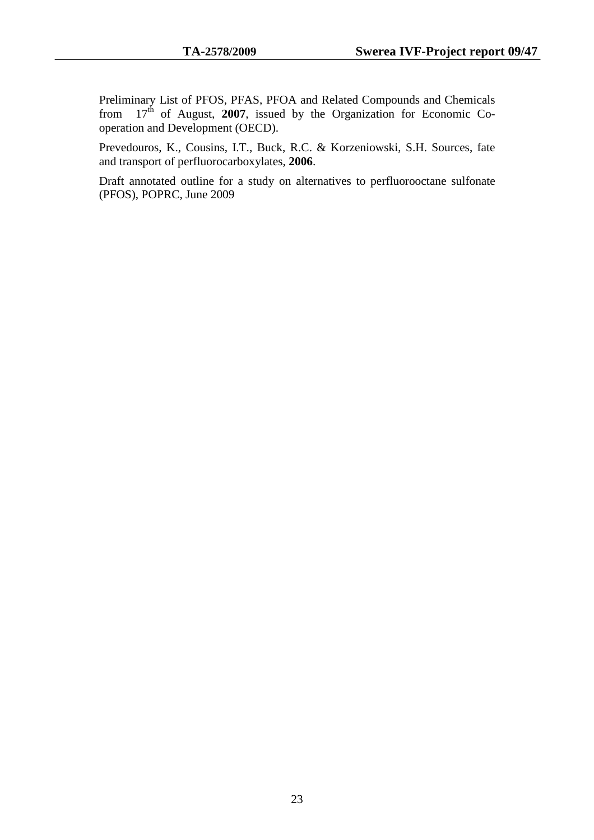Preliminary List of PFOS, PFAS, PFOA and Related Compounds and Chemicals from 17<sup>th</sup> of August, 2007, issued by the Organization for Economic Cooperation and Development (OECD).

Prevedouros, K., Cousins, I.T., Buck, R.C. & Korzeniowski, S.H. Sources, fate and transport of perfluorocarboxylates, **2006**.

Draft annotated outline for a study on alternatives to perfluorooctane sulfonate (PFOS), POPRC, June 2009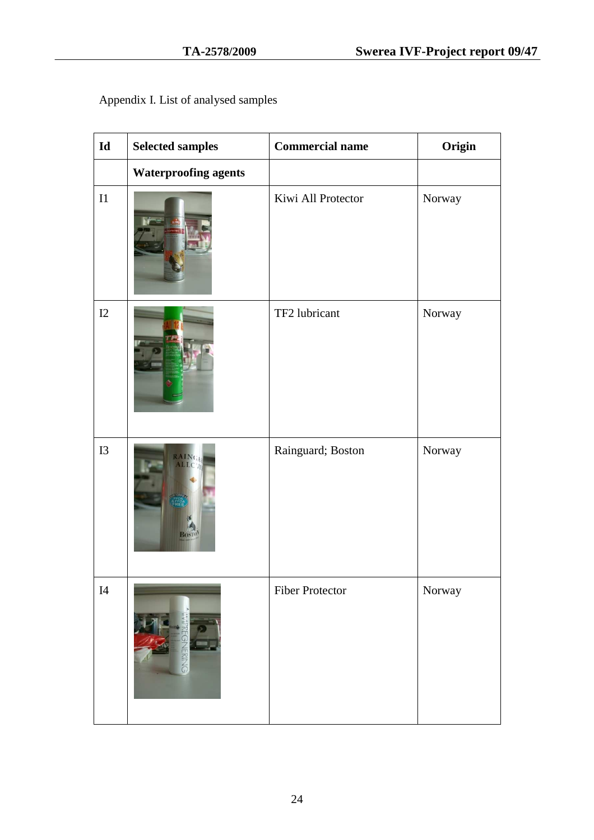Appendix I. List of analysed samples

| $\mathbf{Id}$                                                 | <b>Selected samples</b>     | <b>Commercial name</b> | Origin |
|---------------------------------------------------------------|-----------------------------|------------------------|--------|
|                                                               | <b>Waterproofing agents</b> |                        |        |
| I1                                                            |                             | Kiwi All Protector     | Norway |
| $I2$                                                          |                             | TF2 lubricant          | Norway |
| I3                                                            | <b>BOSTO</b>                | Rainguard; Boston      | Norway |
| $\ensuremath{\mathop{\text{\rm I\hspace{-.1em} A}}\nolimits}$ | <b>DNHANG</b>               | <b>Fiber Protector</b> | Norway |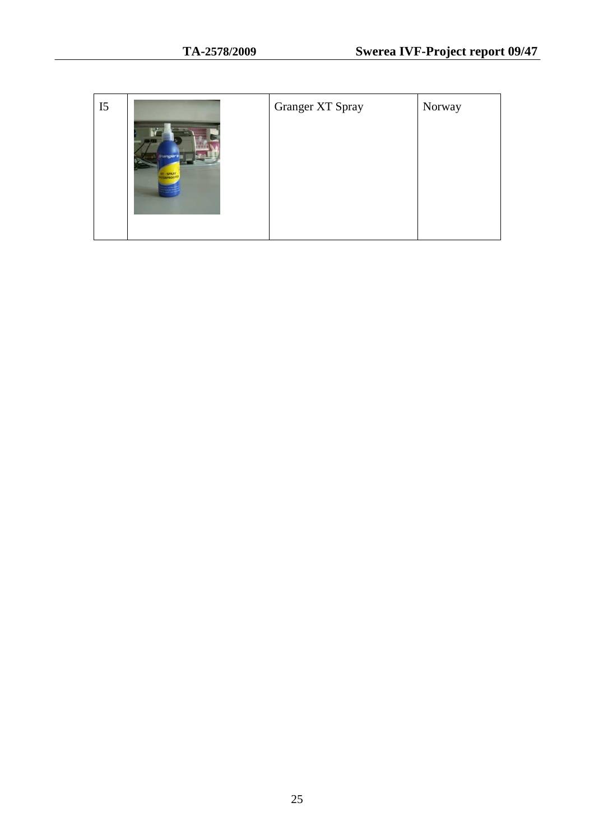| I <sub>5</sub> |             | Granger XT Spray | Norway |
|----------------|-------------|------------------|--------|
|                | <b>SPRA</b> |                  |        |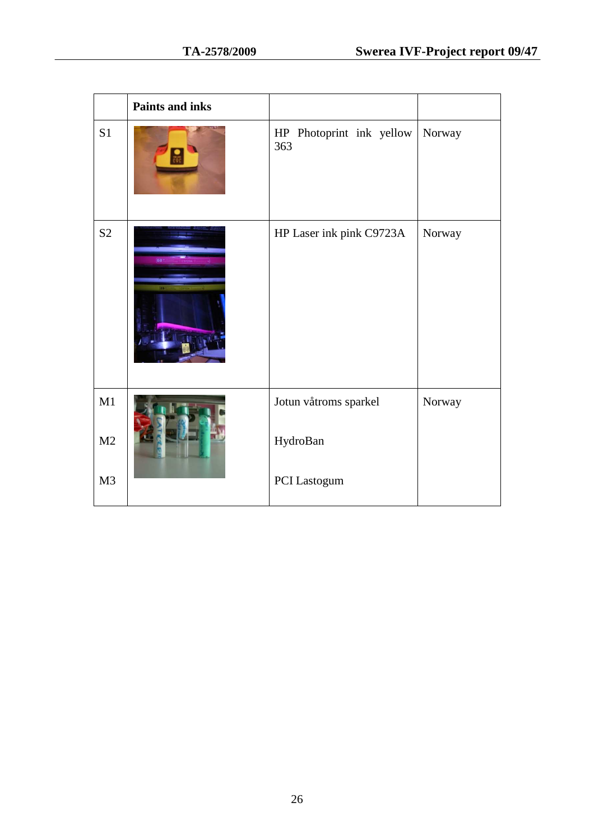|                | <b>Paints and inks</b> |                                    |        |
|----------------|------------------------|------------------------------------|--------|
| S <sub>1</sub> |                        | Photoprint ink yellow<br>HP<br>363 | Norway |
| S <sub>2</sub> | m                      | HP Laser ink pink C9723A           | Norway |
| M1             |                        | Jotun våtroms sparkel              | Norway |
| M2             |                        | HydroBan                           |        |
| M3             |                        | PCI Lastogum                       |        |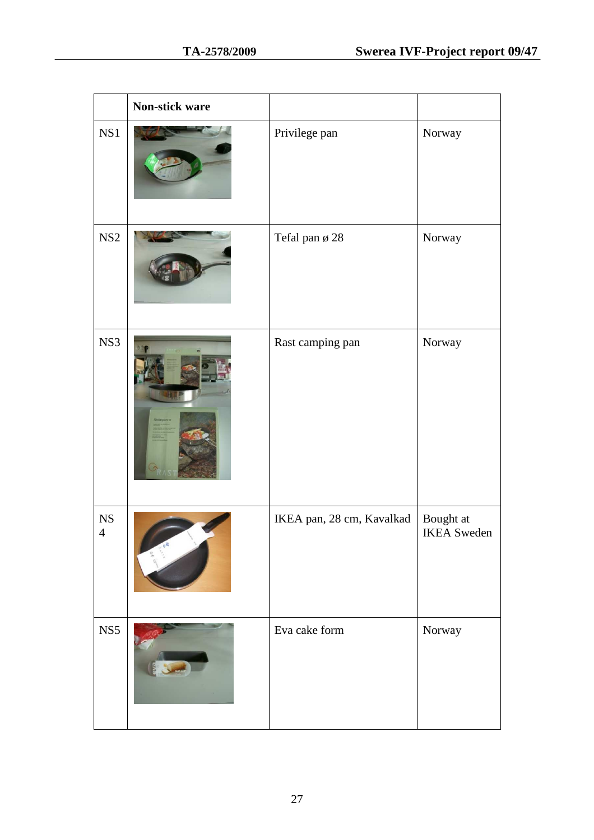|                              | Non-stick ware |                            |                                 |
|------------------------------|----------------|----------------------------|---------------------------------|
| NS1                          |                | Privilege pan              | Norway                          |
| NS2                          |                | Tefal pan $\varnothing$ 28 | Norway                          |
| NS3                          |                | Rast camping pan           | Norway                          |
| ${\bf NS}$<br>$\overline{4}$ |                | IKEA pan, 28 cm, Kavalkad  | Bought at<br><b>IKEA</b> Sweden |
| NS5                          |                | Eva cake form              | Norway                          |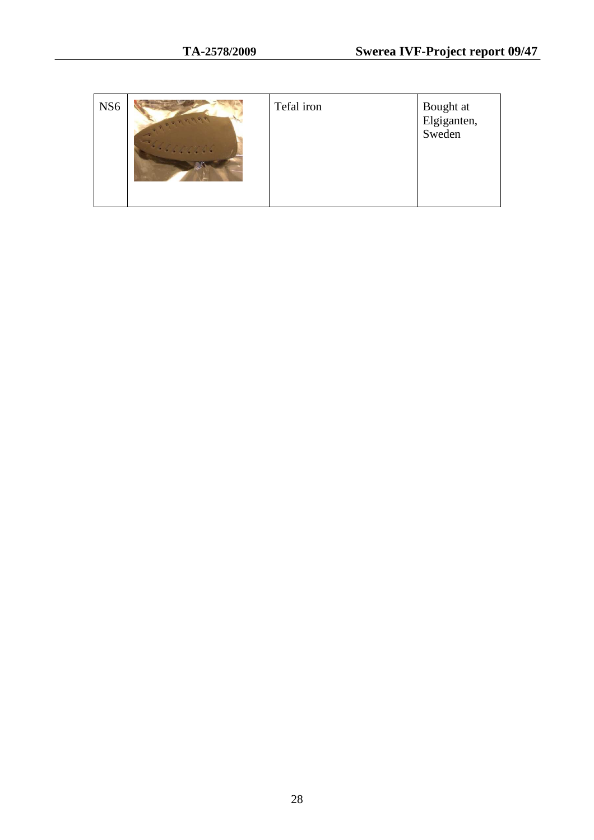| NS <sub>6</sub> |  | Tefal iron | Bought at<br>Elgiganten,<br>Sweden |
|-----------------|--|------------|------------------------------------|
|-----------------|--|------------|------------------------------------|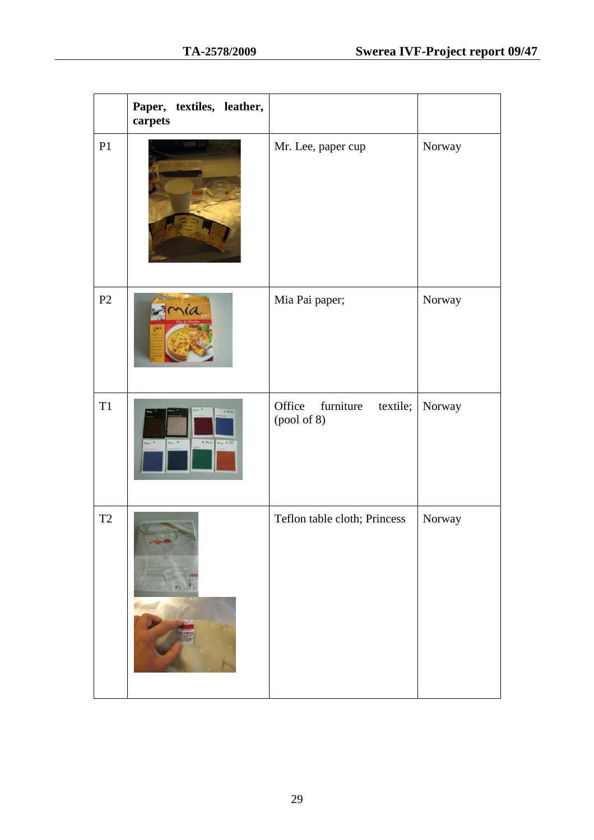|               | Paper, textiles, leather,<br>carpets |                                                |        |
|---------------|--------------------------------------|------------------------------------------------|--------|
| P1            |                                      | Mr. Lee, paper cup                             | Norway |
| $\mathbf{P}2$ | pai                                  | Mia Pai paper;                                 | Norway |
| $\mathrm{T}1$ |                                      | furniture<br>Office<br>textile;<br>(pool of 8) | Norway |
| T2            |                                      | Teflon table cloth; Princess                   | Norway |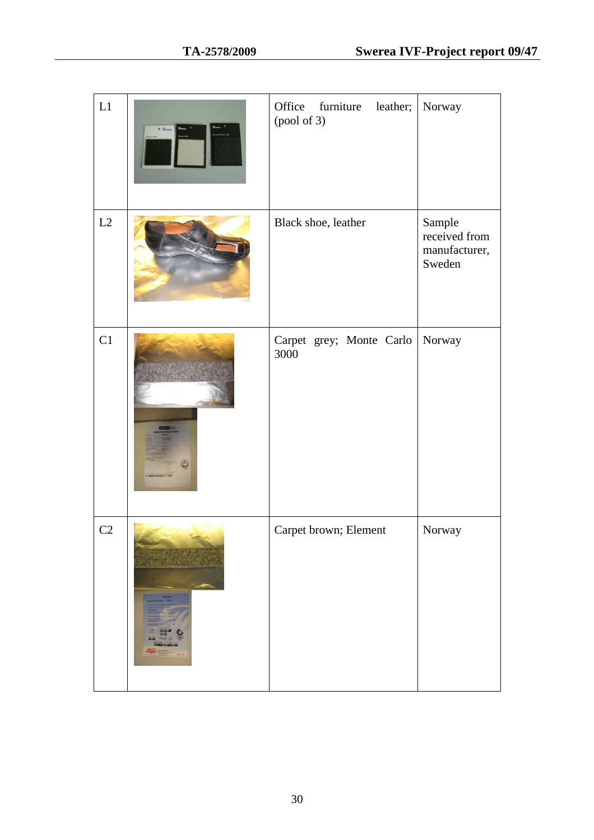| L1 |                                                      | furniture leather;<br>Office<br>(pool of 3) | Norway                                             |
|----|------------------------------------------------------|---------------------------------------------|----------------------------------------------------|
| L2 |                                                      | Black shoe, leather                         | Sample<br>received from<br>manufacturer,<br>Sweden |
| C1 | ۵<br><b>CHIPERIA (1988</b>                           | Carpet grey; Monte Carlo<br>3000            | Norway                                             |
| C2 | ---<br>m ma C<br><b>GAS CAR &amp;</b><br>Heke Waller | Carpet brown; Element                       | Norway                                             |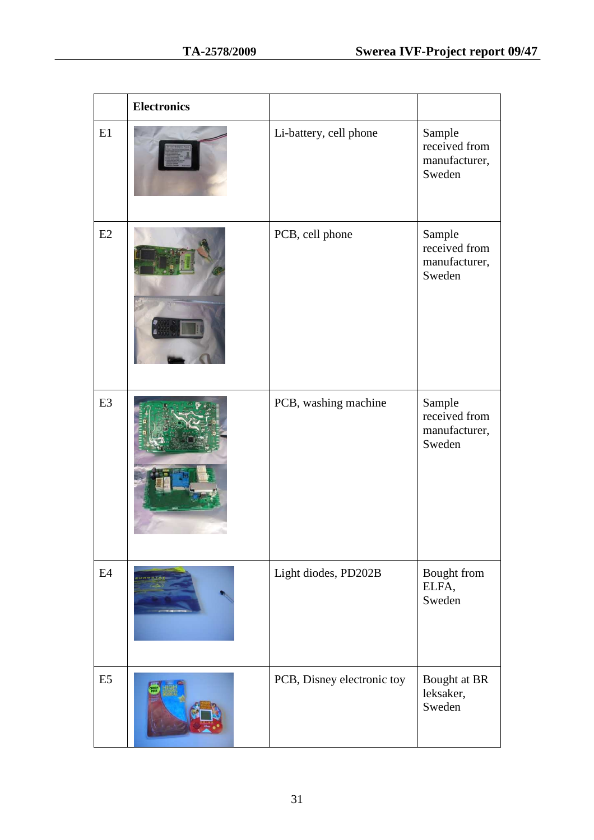|                | <b>Electronics</b> |                            |                                                    |
|----------------|--------------------|----------------------------|----------------------------------------------------|
| E1             |                    | Li-battery, cell phone     | Sample<br>received from<br>manufacturer,<br>Sweden |
| E2             |                    | PCB, cell phone            | Sample<br>received from<br>manufacturer,<br>Sweden |
| E <sub>3</sub> |                    | PCB, washing machine       | Sample<br>received from<br>manufacturer,<br>Sweden |
| E4             |                    | Light diodes, PD202B       | Bought from<br>ELFA,<br>Sweden                     |
| E <sub>5</sub> |                    | PCB, Disney electronic toy | Bought at BR<br>leksaker,<br>Sweden                |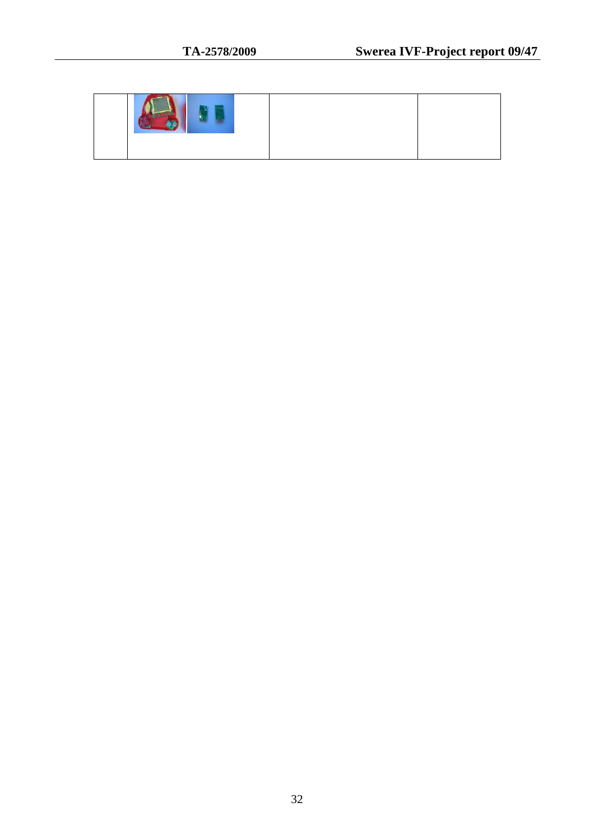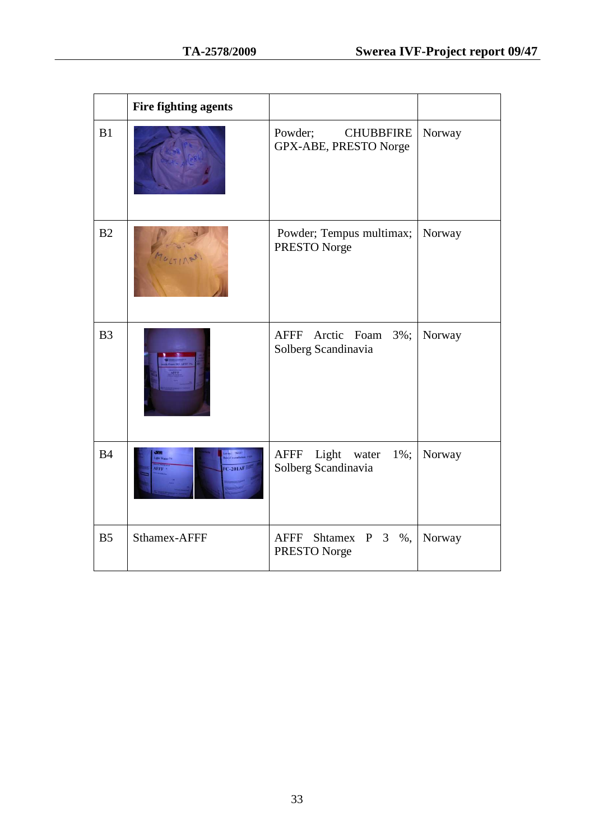|                | Fire fighting agents                                      |                                                                 |        |
|----------------|-----------------------------------------------------------|-----------------------------------------------------------------|--------|
| B1             |                                                           | Powder;<br><b>CHUBBFIRE</b><br>GPX-ABE, PRESTO Norge            | Norway |
| B2             |                                                           | Powder; Tempus multimax;<br>PRESTO Norge                        | Norway |
| B <sub>3</sub> |                                                           | <b>AFFF</b><br>Arctic Foam 3%;<br>Solberg Scandinavia           | Norway |
| B <sub>4</sub> | <b>JIVI</b><br>debt Water The<br>$C-201AF$<br><b>NFFF</b> | Light<br><b>AFFF</b><br>$1\%$ ;<br>water<br>Solberg Scandinavia | Norway |
| B <sub>5</sub> | <b>Sthamex-AFFF</b>                                       | Shtamex P 3<br>$%$ ,<br><b>AFFF</b><br>PRESTO Norge             | Norway |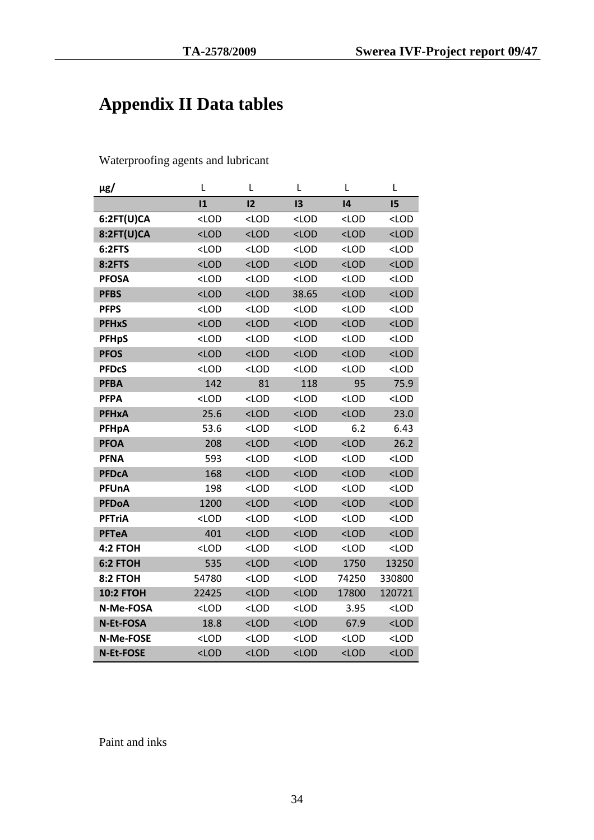# **Appendix II Data tables**

| $\mu$ g/         | L                                                                                                                                       | L                                                                                                          | Г                                                                           | L                                               | Г                   |
|------------------|-----------------------------------------------------------------------------------------------------------------------------------------|------------------------------------------------------------------------------------------------------------|-----------------------------------------------------------------------------|-------------------------------------------------|---------------------|
|                  | 11                                                                                                                                      | 12                                                                                                         | 13                                                                          | 4                                               | 15                  |
| 6:2FT(U)CA       | <lod< th=""><th><lod< th=""><th><math>&lt;</math>LOD</th><th><math>&lt;</math>LOD</th><th><lod< th=""></lod<></th></lod<></th></lod<>   | <lod< th=""><th><math>&lt;</math>LOD</th><th><math>&lt;</math>LOD</th><th><lod< th=""></lod<></th></lod<>  | $<$ LOD                                                                     | $<$ LOD                                         | <lod< th=""></lod<> |
| 8:2FT(U)CA       | $<$ LOD                                                                                                                                 | $<$ LOD                                                                                                    | $<$ LOD                                                                     | $<$ LOD                                         | $<$ LOD             |
| 6:2FTS           | <lod< th=""><th><math>&lt;</math>LOD</th><th><math>&lt;</math>LOD</th><th><lod< th=""><th><lod< th=""></lod<></th></lod<></th></lod<>   | $<$ LOD                                                                                                    | $<$ LOD                                                                     | <lod< th=""><th><lod< th=""></lod<></th></lod<> | <lod< th=""></lod<> |
| <b>8:2FTS</b>    | <lod< th=""><th><math>&lt;</math>LOD</th><th><math>&lt;</math>LOD</th><th><math>&lt;</math>LOD</th><th><math>&lt;</math>LOD</th></lod<> | $<$ LOD                                                                                                    | $<$ LOD                                                                     | $<$ LOD                                         | $<$ LOD             |
| <b>PFOSA</b>     | <lod< th=""><th><lod< th=""><th><lod< th=""><th><lod< th=""><th><lod< th=""></lod<></th></lod<></th></lod<></th></lod<></th></lod<>     | <lod< th=""><th><lod< th=""><th><lod< th=""><th><lod< th=""></lod<></th></lod<></th></lod<></th></lod<>    | <lod< th=""><th><lod< th=""><th><lod< th=""></lod<></th></lod<></th></lod<> | <lod< th=""><th><lod< th=""></lod<></th></lod<> | <lod< th=""></lod<> |
| <b>PFBS</b>      | <lod< th=""><th><math>&lt;</math>LOD</th><th>38.65</th><th><math>&lt;</math>LOD</th><th><math>&lt;</math>LOD</th></lod<>                | $<$ LOD                                                                                                    | 38.65                                                                       | $<$ LOD                                         | $<$ LOD             |
| <b>PFPS</b>      | <lod< th=""><th><lod< th=""><th><math>&lt;</math>LOD</th><th><lod< th=""><th><lod< th=""></lod<></th></lod<></th></lod<></th></lod<>    | <lod< th=""><th><math>&lt;</math>LOD</th><th><lod< th=""><th><lod< th=""></lod<></th></lod<></th></lod<>   | $<$ LOD                                                                     | <lod< th=""><th><lod< th=""></lod<></th></lod<> | <lod< th=""></lod<> |
| <b>PFHxS</b>     | <lod< th=""><th><math>&lt;</math>LOD</th><th><math>&lt;</math>LOD</th><th><math>&lt;</math>LOD</th><th><math>&lt;</math>LOD</th></lod<> | $<$ LOD                                                                                                    | $<$ LOD                                                                     | $<$ LOD                                         | $<$ LOD             |
| <b>PFHpS</b>     | <lod< th=""><th><lod< th=""><th><lod< th=""><th><lod< th=""><th><lod< th=""></lod<></th></lod<></th></lod<></th></lod<></th></lod<>     | <lod< th=""><th><lod< th=""><th><lod< th=""><th><lod< th=""></lod<></th></lod<></th></lod<></th></lod<>    | <lod< th=""><th><lod< th=""><th><lod< th=""></lod<></th></lod<></th></lod<> | <lod< th=""><th><lod< th=""></lod<></th></lod<> | <lod< th=""></lod<> |
| <b>PFOS</b>      | $<$ LOD                                                                                                                                 | $<$ LOD                                                                                                    | $<$ LOD                                                                     | $<$ LOD                                         | $<$ LOD             |
| <b>PFDcS</b>     | <lod< th=""><th><lod< th=""><th><math>&lt;</math>LOD</th><th><lod< th=""><th><lod< th=""></lod<></th></lod<></th></lod<></th></lod<>    | <lod< th=""><th><math>&lt;</math>LOD</th><th><lod< th=""><th><lod< th=""></lod<></th></lod<></th></lod<>   | $<$ LOD                                                                     | <lod< th=""><th><lod< th=""></lod<></th></lod<> | <lod< th=""></lod<> |
| <b>PFBA</b>      | 142                                                                                                                                     | 81                                                                                                         | 118                                                                         | 95                                              | 75.9                |
| <b>PFPA</b>      | $<$ LOD                                                                                                                                 | $<$ LOD                                                                                                    | $<$ LOD                                                                     | $<$ LOD                                         | <lod< th=""></lod<> |
| <b>PFHxA</b>     | 25.6                                                                                                                                    | $<$ LOD                                                                                                    | $<$ LOD                                                                     | $<$ LOD                                         | 23.0                |
| <b>PFHpA</b>     | 53.6                                                                                                                                    | <lod< th=""><th><lod< th=""><th>6.2</th><th>6.43</th></lod<></th></lod<>                                   | <lod< th=""><th>6.2</th><th>6.43</th></lod<>                                | 6.2                                             | 6.43                |
| <b>PFOA</b>      | 208                                                                                                                                     | $<$ LOD                                                                                                    | $<$ LOD                                                                     | $<$ LOD                                         | 26.2                |
| <b>PFNA</b>      | 593                                                                                                                                     | <lod< th=""><th><math>&lt;</math>LOD</th><th><lod< th=""><th><lod< th=""></lod<></th></lod<></th></lod<>   | $<$ LOD                                                                     | <lod< th=""><th><lod< th=""></lod<></th></lod<> | <lod< th=""></lod<> |
| <b>PFDcA</b>     | 168                                                                                                                                     | $<$ LOD                                                                                                    | $<$ LOD                                                                     | $<$ LOD                                         | $<$ LOD             |
| PFUnA            | 198                                                                                                                                     | <lod< th=""><th><math>&lt;</math>LOD</th><th><lod< th=""><th><lod< th=""></lod<></th></lod<></th></lod<>   | $<$ LOD                                                                     | <lod< th=""><th><lod< th=""></lod<></th></lod<> | <lod< th=""></lod<> |
| <b>PFDoA</b>     | 1200                                                                                                                                    | $<$ LOD                                                                                                    | $<$ LOD                                                                     | $<$ LOD                                         | $<$ LOD             |
| <b>PFTriA</b>    | <lod< th=""><th><lod< th=""><th><math>&lt;</math>LOD</th><th><lod< th=""><th><lod< th=""></lod<></th></lod<></th></lod<></th></lod<>    | <lod< th=""><th><math>&lt;</math>LOD</th><th><lod< th=""><th><lod< th=""></lod<></th></lod<></th></lod<>   | $<$ LOD                                                                     | <lod< th=""><th><lod< th=""></lod<></th></lod<> | <lod< th=""></lod<> |
| <b>PFTeA</b>     | 401                                                                                                                                     | $<$ LOD                                                                                                    | $<$ LOD                                                                     | $<$ LOD                                         | $<$ LOD             |
| 4:2 FTOH         | $<$ LOD                                                                                                                                 | <lod< th=""><th><math>&lt;</math>LOD</th><th><lod< th=""><th><lod< th=""></lod<></th></lod<></th></lod<>   | $<$ LOD                                                                     | <lod< th=""><th><lod< th=""></lod<></th></lod<> | <lod< th=""></lod<> |
| 6:2 FTOH         | 535                                                                                                                                     | $<$ LOD                                                                                                    | $<$ LOD                                                                     | 1750                                            | 13250               |
| 8:2 FTOH         | 54780                                                                                                                                   | <lod< th=""><th><lod< th=""><th>74250</th><th>330800</th></lod<></th></lod<>                               | <lod< th=""><th>74250</th><th>330800</th></lod<>                            | 74250                                           | 330800              |
| <b>10:2 FTOH</b> | 22425                                                                                                                                   | $<$ LOD                                                                                                    | $<$ LOD                                                                     | 17800                                           | 120721              |
| N-Me-FOSA        | <lod< th=""><th><lod< th=""><th><math>&lt;</math>LOD</th><th>3.95</th><th><lod< th=""></lod<></th></lod<></th></lod<>                   | <lod< th=""><th><math>&lt;</math>LOD</th><th>3.95</th><th><lod< th=""></lod<></th></lod<>                  | $<$ LOD                                                                     | 3.95                                            | <lod< th=""></lod<> |
| N-Et-FOSA        | 18.8                                                                                                                                    | $<$ LOD                                                                                                    | $<$ LOD                                                                     | 67.9                                            | $<$ LOD             |
| N-Me-FOSE        | <lod< th=""><th><lod< th=""><th><lod< th=""><th><lod< th=""><th><lod< th=""></lod<></th></lod<></th></lod<></th></lod<></th></lod<>     | <lod< th=""><th><lod< th=""><th><lod< th=""><th><lod< th=""></lod<></th></lod<></th></lod<></th></lod<>    | <lod< th=""><th><lod< th=""><th><lod< th=""></lod<></th></lod<></th></lod<> | <lod< th=""><th><lod< th=""></lod<></th></lod<> | <lod< th=""></lod<> |
| <b>N-Et-FOSE</b> | <lod< th=""><th><lod< th=""><th><math>&lt;</math>LOD</th><th><math>&lt;</math>LOD</th><th><math>&lt;</math>LOD</th></lod<></th></lod<>  | <lod< th=""><th><math>&lt;</math>LOD</th><th><math>&lt;</math>LOD</th><th><math>&lt;</math>LOD</th></lod<> | $<$ LOD                                                                     | $<$ LOD                                         | $<$ LOD             |

Waterproofing agents and lubricant

Paint and inks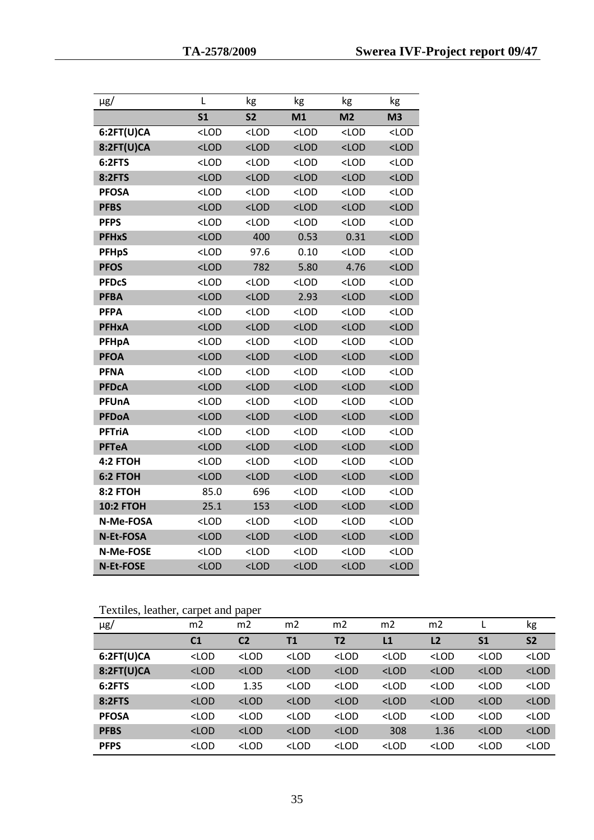| µg/              | Г                                                                                                                                       | kg                                                                                                       | kg                                                                            | kg                                               | kg                  |
|------------------|-----------------------------------------------------------------------------------------------------------------------------------------|----------------------------------------------------------------------------------------------------------|-------------------------------------------------------------------------------|--------------------------------------------------|---------------------|
|                  | S <sub>1</sub>                                                                                                                          | S <sub>2</sub>                                                                                           | M1                                                                            | M <sub>2</sub>                                   | M <sub>3</sub>      |
| 6:2FT(U)CA       | $<$ LOD                                                                                                                                 | $<$ LOD                                                                                                  | <lod< th=""><th><math>&lt;</math>LOD</th><th><math>&lt;</math>LOD</th></lod<> | $<$ LOD                                          | $<$ LOD             |
| 8:2FT(U)CA       | $<$ LOD                                                                                                                                 | $<$ LOD                                                                                                  | $<$ LOD                                                                       | $<$ LOD                                          | $<$ LOD             |
| 6:2FTS           | <lod< th=""><th><math>&lt;</math>LOD</th><th><lod< th=""><th><math>&lt;</math>LOD</th><th><math>&lt;</math>LOD</th></lod<></th></lod<>  | $<$ LOD                                                                                                  | <lod< th=""><th><math>&lt;</math>LOD</th><th><math>&lt;</math>LOD</th></lod<> | $<$ LOD                                          | $<$ LOD             |
| <b>8:2FTS</b>    | $<$ LOD                                                                                                                                 | $<$ LOD                                                                                                  | $<$ LOD                                                                       | $<$ LOD                                          | $<$ LOD             |
| <b>PFOSA</b>     | <lod< th=""><th><math>&lt;</math>LOD</th><th><lod< th=""><th><math>&lt;</math>LOD</th><th><lod< th=""></lod<></th></lod<></th></lod<>   | $<$ LOD                                                                                                  | <lod< th=""><th><math>&lt;</math>LOD</th><th><lod< th=""></lod<></th></lod<>  | $<$ LOD                                          | <lod< th=""></lod<> |
| <b>PFBS</b>      | $<$ LOD                                                                                                                                 | $<$ LOD                                                                                                  | <lod< th=""><th><math>&lt;</math>LOD</th><th><math>&lt;</math>LOD</th></lod<> | $<$ LOD                                          | $<$ LOD             |
| <b>PFPS</b>      | <lod< th=""><th><lod< th=""><th><math>&lt;</math>LOD</th><th><lod< th=""><th><lod< th=""></lod<></th></lod<></th></lod<></th></lod<>    | <lod< th=""><th><math>&lt;</math>LOD</th><th><lod< th=""><th><lod< th=""></lod<></th></lod<></th></lod<> | $<$ LOD                                                                       | <lod< th=""><th><lod< th=""></lod<></th></lod<>  | <lod< th=""></lod<> |
| <b>PFHxS</b>     | $<$ LOD                                                                                                                                 | 400                                                                                                      | 0.53                                                                          | 0.31                                             | $<$ LOD             |
| <b>PFHpS</b>     | $<$ LOD                                                                                                                                 | 97.6                                                                                                     | 0.10                                                                          | $<$ LOD                                          | $<$ LOD             |
| <b>PFOS</b>      | $<$ LOD                                                                                                                                 | 782                                                                                                      | 5.80                                                                          | 4.76                                             | $<$ LOD             |
| <b>PFDcS</b>     | <lod< th=""><th><math>&lt;</math>LOD</th><th><math>&lt;</math>LOD</th><th><math>&lt;</math>LOD</th><th><math>&lt;</math>LOD</th></lod<> | $<$ LOD                                                                                                  | $<$ LOD                                                                       | $<$ LOD                                          | $<$ LOD             |
| <b>PFBA</b>      | $<$ LOD                                                                                                                                 | $<$ LOD                                                                                                  | 2.93                                                                          | $<$ LOD                                          | $<$ LOD             |
| <b>PFPA</b>      | <lod< th=""><th><math>&lt;</math>LOD</th><th><math>&lt;</math>LOD</th><th><math>&lt;</math>LOD</th><th><math>&lt;</math>LOD</th></lod<> | $<$ LOD                                                                                                  | $<$ LOD                                                                       | $<$ LOD                                          | $<$ LOD             |
| <b>PFHxA</b>     | $<$ LOD                                                                                                                                 | $<$ LOD                                                                                                  | $<$ LOD                                                                       | $<$ LOD                                          | $<$ LOD             |
| <b>PFHpA</b>     | <lod< th=""><th><math>&lt;</math>LOD</th><th><lod< th=""><th><math>&lt;</math>LOD</th><th><lod< th=""></lod<></th></lod<></th></lod<>   | $<$ LOD                                                                                                  | <lod< th=""><th><math>&lt;</math>LOD</th><th><lod< th=""></lod<></th></lod<>  | $<$ LOD                                          | <lod< th=""></lod<> |
| <b>PFOA</b>      | $<$ LOD                                                                                                                                 | $<$ LOD                                                                                                  | $<$ LOD                                                                       | $<$ LOD                                          | $<$ LOD             |
| <b>PFNA</b>      | <lod< th=""><th><math>&lt;</math>LOD</th><th><math>&lt;</math>LOD</th><th><math>&lt;</math>LOD</th><th><math>&lt;</math>LOD</th></lod<> | $<$ LOD                                                                                                  | $<$ LOD                                                                       | $<$ LOD                                          | $<$ LOD             |
| <b>PFDcA</b>     | $<$ LOD                                                                                                                                 | $<$ LOD                                                                                                  | $<$ LOD                                                                       | $<$ LOD                                          | $<$ LOD             |
| PFUnA            | $<$ LOD                                                                                                                                 | $<$ LOD                                                                                                  | <lod< th=""><th><math>&lt;</math>LOD</th><th><math>&lt;</math>LOD</th></lod<> | $<$ LOD                                          | $<$ LOD             |
| <b>PFDoA</b>     | $<$ LOD                                                                                                                                 | $<$ LOD                                                                                                  | $<$ LOD                                                                       | $<$ LOD                                          | $<$ LOD             |
| <b>PFTriA</b>    | <lod< th=""><th><math>&lt;</math>LOD</th><th><lod< th=""><th><math>&lt;</math>LOD</th><th><math>&lt;</math>LOD</th></lod<></th></lod<>  | $<$ LOD                                                                                                  | <lod< th=""><th><math>&lt;</math>LOD</th><th><math>&lt;</math>LOD</th></lod<> | $<$ LOD                                          | $<$ LOD             |
| <b>PFTeA</b>     | <lod< th=""><th><math>&lt;</math>LOD</th><th><math>&lt;</math>LOD</th><th><math>&lt;</math>LOD</th><th><math>&lt;</math>LOD</th></lod<> | $<$ LOD                                                                                                  | $<$ LOD                                                                       | $<$ LOD                                          | $<$ LOD             |
| 4:2 FTOH         | <lod< th=""><th><lod< th=""><th><lod< th=""><th><lod< th=""><th><lod< th=""></lod<></th></lod<></th></lod<></th></lod<></th></lod<>     | <lod< th=""><th><lod< th=""><th><lod< th=""><th><lod< th=""></lod<></th></lod<></th></lod<></th></lod<>  | <lod< th=""><th><lod< th=""><th><lod< th=""></lod<></th></lod<></th></lod<>   | <lod< th=""><th><lod< th=""></lod<></th></lod<>  | <lod< th=""></lod<> |
| 6:2 FTOH         | $<$ LOD                                                                                                                                 | $<$ LOD                                                                                                  | $<$ LOD                                                                       | $<$ LOD                                          | $<$ LOD             |
| 8:2 FTOH         | 85.0                                                                                                                                    | 696                                                                                                      | <lod< th=""><th><math>&lt;</math>LOD</th><th><math>&lt;</math>LOD</th></lod<> | $<$ LOD                                          | $<$ LOD             |
| <b>10:2 FTOH</b> | 25.1                                                                                                                                    | 153                                                                                                      | $<$ LOD                                                                       | $<$ LOD                                          | $<$ LOD             |
| N-Me-FOSA        | <lod< th=""><th><math>&lt;</math>LOD</th><th><math>&lt;</math>LOD</th><th><math>&lt;</math>LOD</th><th><math>&lt;</math>LOD</th></lod<> | $<$ LOD                                                                                                  | $<$ LOD                                                                       | $<$ LOD                                          | $<$ LOD             |
| N-Et-FOSA        | $<$ LOD                                                                                                                                 | $<$ LOD                                                                                                  | $<$ LOD                                                                       | $<$ LOD                                          | $<$ LOD             |
| N-Me-FOSE        | <lod< th=""><th><lod< th=""><th><lod< th=""><th><lod< th=""><th><math>&lt;</math>LOD</th></lod<></th></lod<></th></lod<></th></lod<>    | <lod< th=""><th><lod< th=""><th><lod< th=""><th><math>&lt;</math>LOD</th></lod<></th></lod<></th></lod<> | <lod< th=""><th><lod< th=""><th><math>&lt;</math>LOD</th></lod<></th></lod<>  | <lod< th=""><th><math>&lt;</math>LOD</th></lod<> | $<$ LOD             |
| <b>N-Et-FOSE</b> | $<$ LOD                                                                                                                                 | $<$ LOD                                                                                                  | <lod< th=""><th><lod< th=""><th><math>&lt;</math>LOD</th></lod<></th></lod<>  | <lod< th=""><th><math>&lt;</math>LOD</th></lod<> | $<$ LOD             |

### Textiles, leather, carpet and paper

| $\mu$ g/      | m2                                                                                                                                                                                                                             | m2                                                                                                                                                                                            | m2                                                                                                                                                              | m <sub>2</sub>                                                                                                                      | m2                                                                                                      | m2                                                                            |                                                  | kg                  |
|---------------|--------------------------------------------------------------------------------------------------------------------------------------------------------------------------------------------------------------------------------|-----------------------------------------------------------------------------------------------------------------------------------------------------------------------------------------------|-----------------------------------------------------------------------------------------------------------------------------------------------------------------|-------------------------------------------------------------------------------------------------------------------------------------|---------------------------------------------------------------------------------------------------------|-------------------------------------------------------------------------------|--------------------------------------------------|---------------------|
|               | C <sub>1</sub>                                                                                                                                                                                                                 | C <sub>2</sub>                                                                                                                                                                                | <b>T1</b>                                                                                                                                                       | T <sub>2</sub>                                                                                                                      | L1                                                                                                      | L2                                                                            | S <sub>1</sub>                                   | S <sub>2</sub>      |
| 6:2FT(U)CA    | <lod< th=""><th><lod< th=""><th><math>&lt;</math>LOD</th><th><math>&lt;</math>LOD</th><th><lod< th=""><th><lod< th=""><th><lod< th=""><th><lod< th=""></lod<></th></lod<></th></lod<></th></lod<></th></lod<></th></lod<>      | <lod< th=""><th><math>&lt;</math>LOD</th><th><math>&lt;</math>LOD</th><th><lod< th=""><th><lod< th=""><th><lod< th=""><th><lod< th=""></lod<></th></lod<></th></lod<></th></lod<></th></lod<> | $<$ LOD                                                                                                                                                         | $<$ LOD                                                                                                                             | <lod< th=""><th><lod< th=""><th><lod< th=""><th><lod< th=""></lod<></th></lod<></th></lod<></th></lod<> | <lod< th=""><th><lod< th=""><th><lod< th=""></lod<></th></lod<></th></lod<>   | <lod< th=""><th><lod< th=""></lod<></th></lod<>  | <lod< th=""></lod<> |
| 8:2FT(U)CA    | <lod< th=""><th><math>&lt;</math>LOD</th><th><math>&lt;</math>LOD</th><th><math>&lt;</math>LOD</th><th><math>&lt;</math>LOD</th><th><math>&lt;</math>LOD</th><th><lod< th=""><th><math>&lt;</math>LOD</th></lod<></th></lod<>  | $<$ LOD                                                                                                                                                                                       | $<$ LOD                                                                                                                                                         | $<$ LOD                                                                                                                             | $<$ LOD                                                                                                 | $<$ LOD                                                                       | <lod< th=""><th><math>&lt;</math>LOD</th></lod<> | $<$ LOD             |
| 6:2FTS        | $<$ LOD                                                                                                                                                                                                                        | 1.35                                                                                                                                                                                          | $<$ LOD                                                                                                                                                         | $<$ LOD                                                                                                                             | $<$ LOD                                                                                                 | <lod< th=""><th><math>&lt;</math>LOD</th><th><math>&lt;</math>LOD</th></lod<> | $<$ LOD                                          | $<$ LOD             |
| <b>8:2FTS</b> | <lod< th=""><th><math>&lt;</math>LOD</th><th><math>&lt;</math>LOD</th><th><math>&lt;</math>LOD</th><th><math>&lt;</math>LOD</th><th><math>&lt;</math>LOD</th><th><math>&lt;</math>LOD</th><th><math>&lt;</math>LOD</th></lod<> | $<$ LOD                                                                                                                                                                                       | $<$ LOD                                                                                                                                                         | $<$ LOD                                                                                                                             | $<$ LOD                                                                                                 | $<$ LOD                                                                       | $<$ LOD                                          | $<$ LOD             |
| <b>PFOSA</b>  | <lod< th=""><th><math>&lt;</math>LOD</th><th><math>&lt;</math>LOD</th><th><math>&lt;</math>LOD</th><th><lod< th=""><th><lod< th=""><th><lod< th=""><th><lod< th=""></lod<></th></lod<></th></lod<></th></lod<></th></lod<>     | $<$ LOD                                                                                                                                                                                       | $<$ LOD                                                                                                                                                         | $<$ LOD                                                                                                                             | <lod< th=""><th><lod< th=""><th><lod< th=""><th><lod< th=""></lod<></th></lod<></th></lod<></th></lod<> | <lod< th=""><th><lod< th=""><th><lod< th=""></lod<></th></lod<></th></lod<>   | <lod< th=""><th><lod< th=""></lod<></th></lod<>  | <lod< th=""></lod<> |
| <b>PFBS</b>   | $<$ LOD                                                                                                                                                                                                                        | $<$ LOD                                                                                                                                                                                       | $<$ LOD                                                                                                                                                         | $<$ LOD                                                                                                                             | 308                                                                                                     | 1.36                                                                          | <lod< th=""><th><math>&lt;</math>LOD</th></lod<> | $<$ LOD             |
| <b>PFPS</b>   | <lod< th=""><th><lod< th=""><th><lod< th=""><th><lod< th=""><th><lod< th=""><th><lod< th=""><th><lod< th=""><th><lod< th=""></lod<></th></lod<></th></lod<></th></lod<></th></lod<></th></lod<></th></lod<></th></lod<>        | <lod< th=""><th><lod< th=""><th><lod< th=""><th><lod< th=""><th><lod< th=""><th><lod< th=""><th><lod< th=""></lod<></th></lod<></th></lod<></th></lod<></th></lod<></th></lod<></th></lod<>   | <lod< th=""><th><lod< th=""><th><lod< th=""><th><lod< th=""><th><lod< th=""><th><lod< th=""></lod<></th></lod<></th></lod<></th></lod<></th></lod<></th></lod<> | <lod< th=""><th><lod< th=""><th><lod< th=""><th><lod< th=""><th><lod< th=""></lod<></th></lod<></th></lod<></th></lod<></th></lod<> | <lod< th=""><th><lod< th=""><th><lod< th=""><th><lod< th=""></lod<></th></lod<></th></lod<></th></lod<> | <lod< th=""><th><lod< th=""><th><lod< th=""></lod<></th></lod<></th></lod<>   | <lod< th=""><th><lod< th=""></lod<></th></lod<>  | <lod< th=""></lod<> |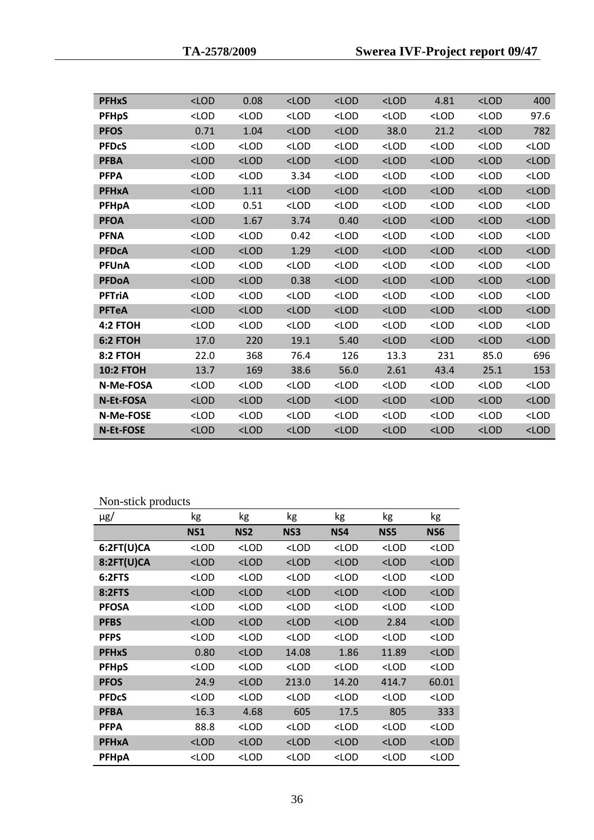| <b>PFH<sub>x</sub>S</b> | $<$ LOD                                                                                                                                                                                                                        | 0.08                                                                                                                                                                                           | $<$ LOD                                                                                                                                                              | $<$ LOD                                                                                                                              | $<$ LOD                                                                                                    | 4.81                                                                         | $<$ LOD                                          | 400     |
|-------------------------|--------------------------------------------------------------------------------------------------------------------------------------------------------------------------------------------------------------------------------|------------------------------------------------------------------------------------------------------------------------------------------------------------------------------------------------|----------------------------------------------------------------------------------------------------------------------------------------------------------------------|--------------------------------------------------------------------------------------------------------------------------------------|------------------------------------------------------------------------------------------------------------|------------------------------------------------------------------------------|--------------------------------------------------|---------|
| <b>PFHpS</b>            | <lod< th=""><th><math>&lt;</math>LOD</th><th><lod< th=""><th><math>&lt;</math>LOD</th><th><lod< th=""><th><lod< th=""><th><lod< th=""><th>97.6</th></lod<></th></lod<></th></lod<></th></lod<></th></lod<>                     | $<$ LOD                                                                                                                                                                                        | <lod< th=""><th><math>&lt;</math>LOD</th><th><lod< th=""><th><lod< th=""><th><lod< th=""><th>97.6</th></lod<></th></lod<></th></lod<></th></lod<>                    | $<$ LOD                                                                                                                              | <lod< th=""><th><lod< th=""><th><lod< th=""><th>97.6</th></lod<></th></lod<></th></lod<>                   | <lod< th=""><th><lod< th=""><th>97.6</th></lod<></th></lod<>                 | <lod< th=""><th>97.6</th></lod<>                 | 97.6    |
| <b>PFOS</b>             | 0.71                                                                                                                                                                                                                           | 1.04                                                                                                                                                                                           | $<$ LOD                                                                                                                                                              | $<$ LOD                                                                                                                              | 38.0                                                                                                       | 21.2                                                                         | $<$ LOD                                          | 782     |
| <b>PFDcS</b>            | <lod< th=""><th><math>&lt;</math>LOD</th><th><math>&lt;</math>LOD</th><th><math>&lt;</math>LOD</th><th><lod< th=""><th><math>&lt;</math>LOD</th><th><math>&lt;</math>LOD</th><th><math>&lt;</math>LOD</th></lod<></th></lod<>  | $<$ LOD                                                                                                                                                                                        | $<$ LOD                                                                                                                                                              | $<$ LOD                                                                                                                              | <lod< th=""><th><math>&lt;</math>LOD</th><th><math>&lt;</math>LOD</th><th><math>&lt;</math>LOD</th></lod<> | $<$ LOD                                                                      | $<$ LOD                                          | $<$ LOD |
| <b>PFBA</b>             | <lod< th=""><th><math>&lt;</math>LOD</th><th><math>&lt;</math>LOD</th><th><math>&lt;</math>LOD</th><th><math>&lt;</math>LOD</th><th><math>&lt;</math>LOD</th><th><math>&lt;</math>LOD</th><th><math>&lt;</math>LOD</th></lod<> | $<$ LOD                                                                                                                                                                                        | $<$ LOD                                                                                                                                                              | $<$ LOD                                                                                                                              | $<$ LOD                                                                                                    | $<$ LOD                                                                      | $<$ LOD                                          | $<$ LOD |
| <b>PFPA</b>             | $<$ LOD                                                                                                                                                                                                                        | $<$ LOD                                                                                                                                                                                        | 3.34                                                                                                                                                                 | $<$ LOD                                                                                                                              | $<$ LOD                                                                                                    | $<$ LOD                                                                      | $<$ LOD                                          | $<$ LOD |
| <b>PFHxA</b>            | $<$ LOD                                                                                                                                                                                                                        | 1.11                                                                                                                                                                                           | $<$ LOD                                                                                                                                                              | $<$ LOD                                                                                                                              | <lod< th=""><th><math>&lt;</math>LOD</th><th><math>&lt;</math>LOD</th><th><math>&lt;</math>LOD</th></lod<> | $<$ LOD                                                                      | $<$ LOD                                          | $<$ LOD |
| PFHpA                   | <lod< th=""><th>0.51</th><th><lod< th=""><th><lod< th=""><th><lod< th=""><th><lod< th=""><th><lod< th=""><th><math>&lt;</math>LOD</th></lod<></th></lod<></th></lod<></th></lod<></th></lod<></th></lod<>                      | 0.51                                                                                                                                                                                           | <lod< th=""><th><lod< th=""><th><lod< th=""><th><lod< th=""><th><lod< th=""><th><math>&lt;</math>LOD</th></lod<></th></lod<></th></lod<></th></lod<></th></lod<>     | <lod< th=""><th><lod< th=""><th><lod< th=""><th><lod< th=""><th><math>&lt;</math>LOD</th></lod<></th></lod<></th></lod<></th></lod<> | <lod< th=""><th><lod< th=""><th><lod< th=""><th><math>&lt;</math>LOD</th></lod<></th></lod<></th></lod<>   | <lod< th=""><th><lod< th=""><th><math>&lt;</math>LOD</th></lod<></th></lod<> | <lod< th=""><th><math>&lt;</math>LOD</th></lod<> | $<$ LOD |
| <b>PFOA</b>             | $<$ LOD                                                                                                                                                                                                                        | 1.67                                                                                                                                                                                           | 3.74                                                                                                                                                                 | 0.40                                                                                                                                 | $<$ LOD                                                                                                    | $<$ LOD                                                                      | $<$ LOD                                          | $<$ LOD |
| <b>PFNA</b>             | <lod< th=""><th><lod< th=""><th>0.42</th><th><lod< th=""><th><lod< th=""><th><lod< th=""><th><lod< th=""><th><math>&lt;</math>LOD</th></lod<></th></lod<></th></lod<></th></lod<></th></lod<></th></lod<>                      | <lod< th=""><th>0.42</th><th><lod< th=""><th><lod< th=""><th><lod< th=""><th><lod< th=""><th><math>&lt;</math>LOD</th></lod<></th></lod<></th></lod<></th></lod<></th></lod<>                  | 0.42                                                                                                                                                                 | <lod< th=""><th><lod< th=""><th><lod< th=""><th><lod< th=""><th><math>&lt;</math>LOD</th></lod<></th></lod<></th></lod<></th></lod<> | <lod< th=""><th><lod< th=""><th><lod< th=""><th><math>&lt;</math>LOD</th></lod<></th></lod<></th></lod<>   | <lod< th=""><th><lod< th=""><th><math>&lt;</math>LOD</th></lod<></th></lod<> | <lod< th=""><th><math>&lt;</math>LOD</th></lod<> | $<$ LOD |
| <b>PFDcA</b>            | $<$ LOD                                                                                                                                                                                                                        | $<$ LOD                                                                                                                                                                                        | 1.29                                                                                                                                                                 | $<$ LOD                                                                                                                              | $<$ LOD                                                                                                    | $<$ LOD                                                                      | $<$ LOD                                          | $<$ LOD |
| PFUnA                   | <lod< th=""><th><lod< th=""><th><lod< th=""><th><math>&lt;</math>LOD</th><th><math>&lt;</math>LOD</th><th><lod< th=""><th><lod< th=""><th><math>&lt;</math>LOD</th></lod<></th></lod<></th></lod<></th></lod<></th></lod<>     | <lod< th=""><th><lod< th=""><th><math>&lt;</math>LOD</th><th><math>&lt;</math>LOD</th><th><lod< th=""><th><lod< th=""><th><math>&lt;</math>LOD</th></lod<></th></lod<></th></lod<></th></lod<> | <lod< th=""><th><math>&lt;</math>LOD</th><th><math>&lt;</math>LOD</th><th><lod< th=""><th><lod< th=""><th><math>&lt;</math>LOD</th></lod<></th></lod<></th></lod<>   | $<$ LOD                                                                                                                              | $<$ LOD                                                                                                    | <lod< th=""><th><lod< th=""><th><math>&lt;</math>LOD</th></lod<></th></lod<> | <lod< th=""><th><math>&lt;</math>LOD</th></lod<> | $<$ LOD |
| <b>PFDoA</b>            | $<$ LOD                                                                                                                                                                                                                        | $<$ LOD                                                                                                                                                                                        | 0.38                                                                                                                                                                 | $<$ LOD                                                                                                                              | $<$ LOD                                                                                                    | $<$ LOD                                                                      | $<$ LOD                                          | $<$ LOD |
| <b>PFTriA</b>           | $<$ LOD                                                                                                                                                                                                                        | $<$ LOD                                                                                                                                                                                        | $<$ LOD                                                                                                                                                              | $<$ LOD                                                                                                                              | $<$ LOD                                                                                                    | $<$ LOD                                                                      | $<$ LOD                                          | $<$ LOD |
| <b>PFTeA</b>            | $<$ LOD                                                                                                                                                                                                                        | $<$ LOD                                                                                                                                                                                        | $<$ LOD                                                                                                                                                              | $<$ LOD                                                                                                                              | $<$ LOD                                                                                                    | $<$ LOD                                                                      | $<$ LOD                                          | $<$ LOD |
| 4:2 FTOH                | <lod< th=""><th><lod< th=""><th><lod< th=""><th><math>&lt;</math>LOD</th><th><lod< th=""><th><lod< th=""><th><lod< th=""><th><math>&lt;</math>LOD</th></lod<></th></lod<></th></lod<></th></lod<></th></lod<></th></lod<>      | <lod< th=""><th><lod< th=""><th><math>&lt;</math>LOD</th><th><lod< th=""><th><lod< th=""><th><lod< th=""><th><math>&lt;</math>LOD</th></lod<></th></lod<></th></lod<></th></lod<></th></lod<>  | <lod< th=""><th><math>&lt;</math>LOD</th><th><lod< th=""><th><lod< th=""><th><lod< th=""><th><math>&lt;</math>LOD</th></lod<></th></lod<></th></lod<></th></lod<>    | $<$ LOD                                                                                                                              | <lod< th=""><th><lod< th=""><th><lod< th=""><th><math>&lt;</math>LOD</th></lod<></th></lod<></th></lod<>   | <lod< th=""><th><lod< th=""><th><math>&lt;</math>LOD</th></lod<></th></lod<> | <lod< th=""><th><math>&lt;</math>LOD</th></lod<> | $<$ LOD |
| 6:2 FTOH                | 17.0                                                                                                                                                                                                                           | 220                                                                                                                                                                                            | 19.1                                                                                                                                                                 | 5.40                                                                                                                                 | $<$ LOD                                                                                                    | $<$ LOD                                                                      | $<$ LOD                                          | $<$ LOD |
| <b>8:2 FTOH</b>         | 22.0                                                                                                                                                                                                                           | 368                                                                                                                                                                                            | 76.4                                                                                                                                                                 | 126                                                                                                                                  | 13.3                                                                                                       | 231                                                                          | 85.0                                             | 696     |
| <b>10:2 FTOH</b>        | 13.7                                                                                                                                                                                                                           | 169                                                                                                                                                                                            | 38.6                                                                                                                                                                 | 56.0                                                                                                                                 | 2.61                                                                                                       | 43.4                                                                         | 25.1                                             | 153     |
| N-Me-FOSA               | <lod< th=""><th><math>&lt;</math>LOD</th><th><math>&lt;</math>LOD</th><th><math>&lt;</math>LOD</th><th><math>&lt;</math>LOD</th><th><math>&lt;</math>LOD</th><th><math>&lt;</math>LOD</th><th><math>&lt;</math>LOD</th></lod<> | $<$ LOD                                                                                                                                                                                        | $<$ LOD                                                                                                                                                              | $<$ LOD                                                                                                                              | $<$ LOD                                                                                                    | $<$ LOD                                                                      | $<$ LOD                                          | $<$ LOD |
| <b>N-Et-FOSA</b>        | $<$ LOD                                                                                                                                                                                                                        | $<$ LOD                                                                                                                                                                                        | <lod< th=""><th><math>&lt;</math>LOD</th><th><math>&lt;</math>LOD</th><th><math>&lt;</math>LOD</th><th><math>&lt;</math>LOD</th><th><math>&lt;</math>LOD</th></lod<> | $<$ LOD                                                                                                                              | $<$ LOD                                                                                                    | $<$ LOD                                                                      | $<$ LOD                                          | $<$ LOD |
| N-Me-FOSE               | $<$ LOD                                                                                                                                                                                                                        | $<$ LOD                                                                                                                                                                                        | $<$ LOD                                                                                                                                                              | $<$ LOD                                                                                                                              | <lod< th=""><th><math>&lt;</math>LOD</th><th><math>&lt;</math>LOD</th><th><math>&lt;</math>LOD</th></lod<> | $<$ LOD                                                                      | $<$ LOD                                          | $<$ LOD |
| <b>N-Et-FOSE</b>        | $<$ LOD                                                                                                                                                                                                                        | $<$ LOD                                                                                                                                                                                        | $<$ LOD                                                                                                                                                              | $<$ LOD                                                                                                                              | $<$ LOD                                                                                                    | $<$ LOD                                                                      | $<$ LOD                                          | $<$ LOD |

### Non-stick products

| µg/                     | kg                                                                                                                                                                 | kg                                                                                                                                      | kg                                                                                                         | kg                                                                           | kg                                               | kg                  |
|-------------------------|--------------------------------------------------------------------------------------------------------------------------------------------------------------------|-----------------------------------------------------------------------------------------------------------------------------------------|------------------------------------------------------------------------------------------------------------|------------------------------------------------------------------------------|--------------------------------------------------|---------------------|
|                         | <b>NS1</b>                                                                                                                                                         | NS <sub>2</sub>                                                                                                                         | NS3                                                                                                        | NS4                                                                          | NS5                                              | NS <sub>6</sub>     |
| 6:2FT(U)CA              | <lod< th=""><th><lod< th=""><th><lod< th=""><th><lod< th=""><th><lod< th=""><th><lod< th=""></lod<></th></lod<></th></lod<></th></lod<></th></lod<></th></lod<>    | <lod< th=""><th><lod< th=""><th><lod< th=""><th><lod< th=""><th><lod< th=""></lod<></th></lod<></th></lod<></th></lod<></th></lod<>     | <lod< th=""><th><lod< th=""><th><lod< th=""><th><lod< th=""></lod<></th></lod<></th></lod<></th></lod<>    | <lod< th=""><th><lod< th=""><th><lod< th=""></lod<></th></lod<></th></lod<>  | <lod< th=""><th><lod< th=""></lod<></th></lod<>  | <lod< th=""></lod<> |
| 8:2FT(U)CA              | <lod< th=""><th><lod< th=""><th><lod< th=""><th><math>&lt;</math>LOD</th><th><math>&lt;</math>LOD</th><th><math>&lt;</math>LOD</th></lod<></th></lod<></th></lod<> | <lod< th=""><th><lod< th=""><th><math>&lt;</math>LOD</th><th><math>&lt;</math>LOD</th><th><math>&lt;</math>LOD</th></lod<></th></lod<>  | <lod< th=""><th><math>&lt;</math>LOD</th><th><math>&lt;</math>LOD</th><th><math>&lt;</math>LOD</th></lod<> | $<$ LOD                                                                      | $<$ LOD                                          | $<$ LOD             |
| 6:2FTS                  | <lod< th=""><th><lod< th=""><th><lod< th=""><th><lod< th=""><th><lod< th=""><th><lod< th=""></lod<></th></lod<></th></lod<></th></lod<></th></lod<></th></lod<>    | <lod< th=""><th><lod< th=""><th><lod< th=""><th><lod< th=""><th><lod< th=""></lod<></th></lod<></th></lod<></th></lod<></th></lod<>     | <lod< th=""><th><lod< th=""><th><lod< th=""><th><lod< th=""></lod<></th></lod<></th></lod<></th></lod<>    | <lod< th=""><th><lod< th=""><th><lod< th=""></lod<></th></lod<></th></lod<>  | <lod< th=""><th><lod< th=""></lod<></th></lod<>  | <lod< th=""></lod<> |
| <b>8:2FTS</b>           | $<$ LOD                                                                                                                                                            | $<$ LOD                                                                                                                                 | <lod< th=""><th><math>&lt;</math>LOD</th><th><math>&lt;</math>LOD</th><th><math>&lt;</math>LOD</th></lod<> | $<$ LOD                                                                      | $<$ LOD                                          | $<$ LOD             |
| <b>PFOSA</b>            | <lod< th=""><th><lod< th=""><th><lod< th=""><th><lod< th=""><th><lod< th=""><th><lod< th=""></lod<></th></lod<></th></lod<></th></lod<></th></lod<></th></lod<>    | <lod< th=""><th><lod< th=""><th><lod< th=""><th><lod< th=""><th><lod< th=""></lod<></th></lod<></th></lod<></th></lod<></th></lod<>     | <lod< th=""><th><lod< th=""><th><lod< th=""><th><lod< th=""></lod<></th></lod<></th></lod<></th></lod<>    | <lod< th=""><th><lod< th=""><th><lod< th=""></lod<></th></lod<></th></lod<>  | <lod< th=""><th><lod< th=""></lod<></th></lod<>  | <lod< th=""></lod<> |
| <b>PFBS</b>             | <lod< th=""><th><lod< th=""><th><lod< th=""><th><math>&lt;</math>LOD</th><th>2.84</th><th><lod< th=""></lod<></th></lod<></th></lod<></th></lod<>                  | <lod< th=""><th><lod< th=""><th><math>&lt;</math>LOD</th><th>2.84</th><th><lod< th=""></lod<></th></lod<></th></lod<>                   | <lod< th=""><th><math>&lt;</math>LOD</th><th>2.84</th><th><lod< th=""></lod<></th></lod<>                  | $<$ LOD                                                                      | 2.84                                             | <lod< th=""></lod<> |
| <b>PFPS</b>             | <lod< th=""><th><lod< th=""><th><lod< th=""><th><lod< th=""><th><lod< th=""><th><lod< th=""></lod<></th></lod<></th></lod<></th></lod<></th></lod<></th></lod<>    | <lod< th=""><th><lod< th=""><th><lod< th=""><th><lod< th=""><th><lod< th=""></lod<></th></lod<></th></lod<></th></lod<></th></lod<>     | <lod< th=""><th><lod< th=""><th><lod< th=""><th><lod< th=""></lod<></th></lod<></th></lod<></th></lod<>    | <lod< th=""><th><lod< th=""><th><lod< th=""></lod<></th></lod<></th></lod<>  | <lod< th=""><th><lod< th=""></lod<></th></lod<>  | <lod< th=""></lod<> |
| <b>PFH<sub>x</sub>S</b> | 0.80                                                                                                                                                               | <lod< th=""><th>14.08</th><th>1.86</th><th>11.89</th><th><lod< th=""></lod<></th></lod<>                                                | 14.08                                                                                                      | 1.86                                                                         | 11.89                                            | <lod< th=""></lod<> |
| <b>PFHpS</b>            | <lod< th=""><th><lod< th=""><th><lod< th=""><th><lod< th=""><th><lod< th=""><th><lod< th=""></lod<></th></lod<></th></lod<></th></lod<></th></lod<></th></lod<>    | <lod< th=""><th><lod< th=""><th><lod< th=""><th><lod< th=""><th><lod< th=""></lod<></th></lod<></th></lod<></th></lod<></th></lod<>     | <lod< th=""><th><lod< th=""><th><lod< th=""><th><lod< th=""></lod<></th></lod<></th></lod<></th></lod<>    | <lod< th=""><th><lod< th=""><th><lod< th=""></lod<></th></lod<></th></lod<>  | <lod< th=""><th><lod< th=""></lod<></th></lod<>  | <lod< th=""></lod<> |
| <b>PFOS</b>             | 24.9                                                                                                                                                               | <lod< th=""><th>213.0</th><th>14.20</th><th>414.7</th><th>60.01</th></lod<>                                                             | 213.0                                                                                                      | 14.20                                                                        | 414.7                                            | 60.01               |
| <b>PFDcS</b>            | <lod< th=""><th><lod< th=""><th><lod< th=""><th><lod< th=""><th><lod< th=""><th><lod< th=""></lod<></th></lod<></th></lod<></th></lod<></th></lod<></th></lod<>    | <lod< th=""><th><lod< th=""><th><lod< th=""><th><lod< th=""><th><lod< th=""></lod<></th></lod<></th></lod<></th></lod<></th></lod<>     | <lod< th=""><th><lod< th=""><th><lod< th=""><th><lod< th=""></lod<></th></lod<></th></lod<></th></lod<>    | <lod< th=""><th><lod< th=""><th><lod< th=""></lod<></th></lod<></th></lod<>  | <lod< th=""><th><lod< th=""></lod<></th></lod<>  | <lod< th=""></lod<> |
| <b>PFBA</b>             | 16.3                                                                                                                                                               | 4.68                                                                                                                                    | 605                                                                                                        | 17.5                                                                         | 805                                              | 333                 |
| <b>PFPA</b>             | 88.8                                                                                                                                                               | $<$ LOD                                                                                                                                 | <lod< th=""><th><lod< th=""><th><lod< th=""><th><math>&lt;</math>LOD</th></lod<></th></lod<></th></lod<>   | <lod< th=""><th><lod< th=""><th><math>&lt;</math>LOD</th></lod<></th></lod<> | <lod< th=""><th><math>&lt;</math>LOD</th></lod<> | $<$ LOD             |
| <b>PFHxA</b>            | $<$ LOD                                                                                                                                                            | <lod< th=""><th><math>&lt;</math>LOD</th><th><math>&lt;</math>LOD</th><th><math>&lt;</math>LOD</th><th><math>&lt;</math>LOD</th></lod<> | $<$ LOD                                                                                                    | $<$ LOD                                                                      | $<$ LOD                                          | $<$ LOD             |
| <b>PFHpA</b>            | $<$ LOD                                                                                                                                                            | <lod< th=""><th><lod< th=""><th><math>&lt;</math>LOD</th><th><lod< th=""><th><math>&lt;</math>LOD</th></lod<></th></lod<></th></lod<>   | <lod< th=""><th><math>&lt;</math>LOD</th><th><lod< th=""><th><math>&lt;</math>LOD</th></lod<></th></lod<>  | $<$ LOD                                                                      | <lod< th=""><th><math>&lt;</math>LOD</th></lod<> | $<$ LOD             |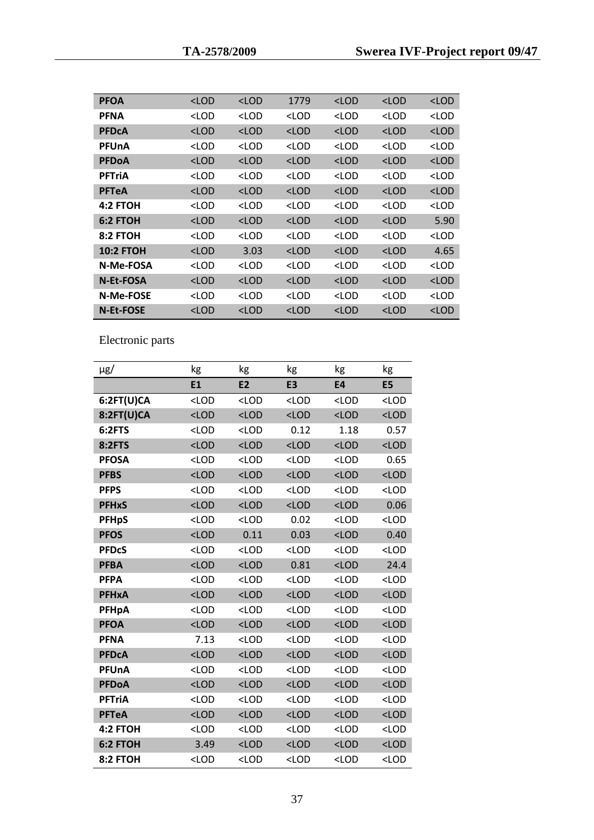| <b>PFOA</b>      | <lod< th=""><th><lod< th=""><th>1779</th><th><lod< th=""><th><lod< th=""><th><lod< th=""></lod<></th></lod<></th></lod<></th></lod<></th></lod<>                  | <lod< th=""><th>1779</th><th><lod< th=""><th><lod< th=""><th><lod< th=""></lod<></th></lod<></th></lod<></th></lod<>                  | 1779                                                                                                      | <lod< th=""><th><lod< th=""><th><lod< th=""></lod<></th></lod<></th></lod<> | <lod< th=""><th><lod< th=""></lod<></th></lod<>  | <lod< th=""></lod<> |
|------------------|-------------------------------------------------------------------------------------------------------------------------------------------------------------------|---------------------------------------------------------------------------------------------------------------------------------------|-----------------------------------------------------------------------------------------------------------|-----------------------------------------------------------------------------|--------------------------------------------------|---------------------|
| <b>PFNA</b>      | <lod< th=""><th><lod< th=""><th><lod< th=""><th><lod< th=""><th><lod< th=""><th><lod< th=""></lod<></th></lod<></th></lod<></th></lod<></th></lod<></th></lod<>   | <lod< th=""><th><lod< th=""><th><lod< th=""><th><lod< th=""><th><lod< th=""></lod<></th></lod<></th></lod<></th></lod<></th></lod<>   | <lod< th=""><th><lod< th=""><th><lod< th=""><th><lod< th=""></lod<></th></lod<></th></lod<></th></lod<>   | <lod< th=""><th><lod< th=""><th><lod< th=""></lod<></th></lod<></th></lod<> | <lod< th=""><th><lod< th=""></lod<></th></lod<>  | <lod< th=""></lod<> |
| <b>PFDcA</b>     | <lod< th=""><th><lod< th=""><th><lod< th=""><th><lod< th=""><th><lod< th=""><th><lod< th=""></lod<></th></lod<></th></lod<></th></lod<></th></lod<></th></lod<>   | <lod< th=""><th><lod< th=""><th><lod< th=""><th><lod< th=""><th><lod< th=""></lod<></th></lod<></th></lod<></th></lod<></th></lod<>   | <lod< th=""><th><lod< th=""><th><lod< th=""><th><lod< th=""></lod<></th></lod<></th></lod<></th></lod<>   | <lod< th=""><th><lod< th=""><th><lod< th=""></lod<></th></lod<></th></lod<> | <lod< th=""><th><lod< th=""></lod<></th></lod<>  | <lod< th=""></lod<> |
| <b>PFUnA</b>     | <lod< th=""><th><lod< th=""><th><lod< th=""><th><lod< th=""><th><lod< th=""><th><lod< th=""></lod<></th></lod<></th></lod<></th></lod<></th></lod<></th></lod<>   | <lod< th=""><th><lod< th=""><th><lod< th=""><th><lod< th=""><th><lod< th=""></lod<></th></lod<></th></lod<></th></lod<></th></lod<>   | <lod< th=""><th><lod< th=""><th><lod< th=""><th><lod< th=""></lod<></th></lod<></th></lod<></th></lod<>   | <lod< th=""><th><lod< th=""><th><lod< th=""></lod<></th></lod<></th></lod<> | <lod< th=""><th><lod< th=""></lod<></th></lod<>  | <lod< th=""></lod<> |
| <b>PFDoA</b>     | <lod< th=""><th><lod< th=""><th><math>&lt;</math>LOD</th><th><lod< th=""><th><lod< th=""><th><lod< th=""></lod<></th></lod<></th></lod<></th></lod<></th></lod<>  | <lod< th=""><th><math>&lt;</math>LOD</th><th><lod< th=""><th><lod< th=""><th><lod< th=""></lod<></th></lod<></th></lod<></th></lod<>  | $<$ LOD                                                                                                   | <lod< th=""><th><lod< th=""><th><lod< th=""></lod<></th></lod<></th></lod<> | <lod< th=""><th><lod< th=""></lod<></th></lod<>  | <lod< th=""></lod<> |
| <b>PFTriA</b>    | <lod< th=""><th><lod< th=""><th><lod< th=""><th><lod< th=""><th><lod< th=""><th><lod< th=""></lod<></th></lod<></th></lod<></th></lod<></th></lod<></th></lod<>   | <lod< th=""><th><lod< th=""><th><lod< th=""><th><lod< th=""><th><lod< th=""></lod<></th></lod<></th></lod<></th></lod<></th></lod<>   | <lod< th=""><th><lod< th=""><th><lod< th=""><th><lod< th=""></lod<></th></lod<></th></lod<></th></lod<>   | <lod< th=""><th><lod< th=""><th><lod< th=""></lod<></th></lod<></th></lod<> | <lod< th=""><th><lod< th=""></lod<></th></lod<>  | <lod< th=""></lod<> |
| <b>PFTeA</b>     | <lod< th=""><th><lod< th=""><th><lod< th=""><th><math>&lt;</math>LOD</th><th><lod< th=""><th><lod< th=""></lod<></th></lod<></th></lod<></th></lod<></th></lod<>  | <lod< th=""><th><lod< th=""><th><math>&lt;</math>LOD</th><th><lod< th=""><th><lod< th=""></lod<></th></lod<></th></lod<></th></lod<>  | <lod< th=""><th><math>&lt;</math>LOD</th><th><lod< th=""><th><lod< th=""></lod<></th></lod<></th></lod<>  | $<$ LOD                                                                     | <lod< th=""><th><lod< th=""></lod<></th></lod<>  | <lod< th=""></lod<> |
| 4:2 FTOH         | <lod< th=""><th><lod< th=""><th><lod< th=""><th><lod< th=""><th><lod< th=""><th><lod< th=""></lod<></th></lod<></th></lod<></th></lod<></th></lod<></th></lod<>   | <lod< th=""><th><lod< th=""><th><lod< th=""><th><lod< th=""><th><lod< th=""></lod<></th></lod<></th></lod<></th></lod<></th></lod<>   | <lod< th=""><th><lod< th=""><th><lod< th=""><th><lod< th=""></lod<></th></lod<></th></lod<></th></lod<>   | <lod< th=""><th><lod< th=""><th><lod< th=""></lod<></th></lod<></th></lod<> | <lod< th=""><th><lod< th=""></lod<></th></lod<>  | <lod< th=""></lod<> |
| 6:2 FTOH         | <lod< th=""><th><lod< th=""><th><lod< th=""><th><math>&lt;</math>LOD</th><th><lod< th=""><th>5.90</th></lod<></th></lod<></th></lod<></th></lod<>                 | <lod< th=""><th><lod< th=""><th><math>&lt;</math>LOD</th><th><lod< th=""><th>5.90</th></lod<></th></lod<></th></lod<>                 | <lod< th=""><th><math>&lt;</math>LOD</th><th><lod< th=""><th>5.90</th></lod<></th></lod<>                 | $<$ LOD                                                                     | <lod< th=""><th>5.90</th></lod<>                 | 5.90                |
| <b>8:2 FTOH</b>  | <lod< th=""><th><lod< th=""><th><lod< th=""><th><lod< th=""><th><lod< th=""><th><lod< th=""></lod<></th></lod<></th></lod<></th></lod<></th></lod<></th></lod<>   | <lod< th=""><th><lod< th=""><th><lod< th=""><th><lod< th=""><th><lod< th=""></lod<></th></lod<></th></lod<></th></lod<></th></lod<>   | <lod< th=""><th><lod< th=""><th><lod< th=""><th><lod< th=""></lod<></th></lod<></th></lod<></th></lod<>   | <lod< th=""><th><lod< th=""><th><lod< th=""></lod<></th></lod<></th></lod<> | <lod< th=""><th><lod< th=""></lod<></th></lod<>  | <lod< th=""></lod<> |
| <b>10:2 FTOH</b> | <lod< th=""><th>3.03</th><th><lod< th=""><th><math>&lt;</math>LOD</th><th><lod< th=""><th>4.65</th></lod<></th></lod<></th></lod<>                                | 3.03                                                                                                                                  | <lod< th=""><th><math>&lt;</math>LOD</th><th><lod< th=""><th>4.65</th></lod<></th></lod<>                 | $<$ LOD                                                                     | <lod< th=""><th>4.65</th></lod<>                 | 4.65                |
| N-Me-FOSA        | <lod< th=""><th><lod< th=""><th><lod< th=""><th><lod< th=""><th><lod< th=""><th><lod< th=""></lod<></th></lod<></th></lod<></th></lod<></th></lod<></th></lod<>   | <lod< th=""><th><lod< th=""><th><lod< th=""><th><lod< th=""><th><lod< th=""></lod<></th></lod<></th></lod<></th></lod<></th></lod<>   | <lod< th=""><th><lod< th=""><th><lod< th=""><th><lod< th=""></lod<></th></lod<></th></lod<></th></lod<>   | <lod< th=""><th><lod< th=""><th><lod< th=""></lod<></th></lod<></th></lod<> | <lod< th=""><th><lod< th=""></lod<></th></lod<>  | <lod< th=""></lod<> |
| <b>N-Et-FOSA</b> | <lod< th=""><th><lod< th=""><th><lod< th=""><th><math>&lt;</math>LOD</th><th><lod< th=""><th><math>&lt;</math>LOD</th></lod<></th></lod<></th></lod<></th></lod<> | <lod< th=""><th><lod< th=""><th><math>&lt;</math>LOD</th><th><lod< th=""><th><math>&lt;</math>LOD</th></lod<></th></lod<></th></lod<> | <lod< th=""><th><math>&lt;</math>LOD</th><th><lod< th=""><th><math>&lt;</math>LOD</th></lod<></th></lod<> | $<$ LOD                                                                     | <lod< th=""><th><math>&lt;</math>LOD</th></lod<> | $<$ LOD             |
| <b>N-Me-FOSE</b> | <lod< th=""><th><lod< th=""><th><lod< th=""><th><lod< th=""><th><lod< th=""><th><lod< th=""></lod<></th></lod<></th></lod<></th></lod<></th></lod<></th></lod<>   | <lod< th=""><th><lod< th=""><th><lod< th=""><th><lod< th=""><th><lod< th=""></lod<></th></lod<></th></lod<></th></lod<></th></lod<>   | <lod< th=""><th><lod< th=""><th><lod< th=""><th><lod< th=""></lod<></th></lod<></th></lod<></th></lod<>   | <lod< th=""><th><lod< th=""><th><lod< th=""></lod<></th></lod<></th></lod<> | <lod< th=""><th><lod< th=""></lod<></th></lod<>  | <lod< th=""></lod<> |
| <b>N-Et-FOSE</b> | $<$ LOD                                                                                                                                                           | <lod< th=""><th><lod< th=""><th><lod< th=""><th><lod< th=""><th><lod< th=""></lod<></th></lod<></th></lod<></th></lod<></th></lod<>   | <lod< th=""><th><lod< th=""><th><lod< th=""><th><lod< th=""></lod<></th></lod<></th></lod<></th></lod<>   | <lod< th=""><th><lod< th=""><th><lod< th=""></lod<></th></lod<></th></lod<> | <lod< th=""><th><lod< th=""></lod<></th></lod<>  | <lod< th=""></lod<> |

Electronic parts

| $\mu$ g/      | kg                                                                                                                                      | kg                                                                                                        | kg                                                                           | kg                                               | kg                  |
|---------------|-----------------------------------------------------------------------------------------------------------------------------------------|-----------------------------------------------------------------------------------------------------------|------------------------------------------------------------------------------|--------------------------------------------------|---------------------|
|               | E1                                                                                                                                      | E2                                                                                                        | E3                                                                           | E4                                               | E5                  |
| 6:2FT(U)CA    | <lod< th=""><th><math>&lt;</math>LOD</th><th><lod< th=""><th><lod< th=""><th><math>&lt;</math>LOD</th></lod<></th></lod<></th></lod<>   | $<$ LOD                                                                                                   | <lod< th=""><th><lod< th=""><th><math>&lt;</math>LOD</th></lod<></th></lod<> | <lod< th=""><th><math>&lt;</math>LOD</th></lod<> | $<$ LOD             |
| 8:2FT(U)CA    | $<$ LOD                                                                                                                                 | $<$ LOD                                                                                                   | $<$ LOD                                                                      | $<$ LOD                                          | $<$ LOD             |
| 6:2FTS        | <lod< th=""><th><lod< th=""><th>0.12</th><th>1.18</th><th>0.57</th></lod<></th></lod<>                                                  | <lod< th=""><th>0.12</th><th>1.18</th><th>0.57</th></lod<>                                                | 0.12                                                                         | 1.18                                             | 0.57                |
| <b>8:2FTS</b> | $<$ LOD                                                                                                                                 | $<$ LOD                                                                                                   | $<$ LOD                                                                      | $<$ LOD                                          | $<$ LOD             |
| <b>PFOSA</b>  | <lod< th=""><th><lod< th=""><th><lod< th=""><th><lod< th=""><th>0.65</th></lod<></th></lod<></th></lod<></th></lod<>                    | <lod< th=""><th><lod< th=""><th><lod< th=""><th>0.65</th></lod<></th></lod<></th></lod<>                  | <lod< th=""><th><lod< th=""><th>0.65</th></lod<></th></lod<>                 | <lod< th=""><th>0.65</th></lod<>                 | 0.65                |
| <b>PFBS</b>   | $<$ LOD                                                                                                                                 | $<$ LOD                                                                                                   | $<$ LOD                                                                      | $<$ LOD                                          | $<$ LOD             |
| <b>PFPS</b>   | <lod< th=""><th><lod< th=""><th><math>&lt;</math>LOD</th><th><lod< th=""><th><math>&lt;</math>LOD</th></lod<></th></lod<></th></lod<>   | <lod< th=""><th><math>&lt;</math>LOD</th><th><lod< th=""><th><math>&lt;</math>LOD</th></lod<></th></lod<> | $<$ LOD                                                                      | <lod< th=""><th><math>&lt;</math>LOD</th></lod<> | $<$ LOD             |
| <b>PFHxS</b>  | $<$ LOD                                                                                                                                 | $<$ LOD                                                                                                   | $<$ LOD                                                                      | $<$ LOD                                          | 0.06                |
| <b>PFHpS</b>  | <lod< th=""><th><lod< th=""><th>0.02</th><th><lod< th=""><th><lod< th=""></lod<></th></lod<></th></lod<></th></lod<>                    | <lod< th=""><th>0.02</th><th><lod< th=""><th><lod< th=""></lod<></th></lod<></th></lod<>                  | 0.02                                                                         | <lod< th=""><th><lod< th=""></lod<></th></lod<>  | <lod< th=""></lod<> |
| <b>PFOS</b>   | $<$ LOD                                                                                                                                 | 0.11                                                                                                      | 0.03                                                                         | $<$ LOD                                          | 0.40                |
| <b>PFDcS</b>  | <lod< th=""><th><math>&lt;</math>LOD</th><th><lod< th=""><th><lod< th=""><th><math>&lt;</math>LOD</th></lod<></th></lod<></th></lod<>   | $<$ LOD                                                                                                   | <lod< th=""><th><lod< th=""><th><math>&lt;</math>LOD</th></lod<></th></lod<> | <lod< th=""><th><math>&lt;</math>LOD</th></lod<> | $<$ LOD             |
| <b>PFBA</b>   | $<$ LOD                                                                                                                                 | $<$ LOD                                                                                                   | 0.81                                                                         | $<$ LOD                                          | 24.4                |
| <b>PFPA</b>   | <lod< th=""><th><math>&lt;</math>LOD</th><th><math>&lt;</math>LOD</th><th><math>&lt;</math>LOD</th><th><math>&lt;</math>LOD</th></lod<> | $<$ LOD                                                                                                   | $<$ LOD                                                                      | $<$ LOD                                          | $<$ LOD             |
| <b>PFHxA</b>  | $<$ LOD                                                                                                                                 | $<$ LOD                                                                                                   | $<$ LOD                                                                      | $<$ LOD                                          | $<$ LOD             |
| <b>PFHpA</b>  | <lod< th=""><th><math>&lt;</math>LOD</th><th><math>&lt;</math>LOD</th><th><lod< th=""><th><math>&lt;</math>LOD</th></lod<></th></lod<>  | $<$ LOD                                                                                                   | $<$ LOD                                                                      | <lod< th=""><th><math>&lt;</math>LOD</th></lod<> | $<$ LOD             |
| <b>PFOA</b>   | $<$ LOD                                                                                                                                 | $<$ LOD                                                                                                   | $<$ LOD                                                                      | $<$ LOD                                          | <lod< th=""></lod<> |
| <b>PFNA</b>   | 7.13                                                                                                                                    | <lod< th=""><th><math>&lt;</math>LOD</th><th><lod< th=""><th><lod< th=""></lod<></th></lod<></th></lod<>  | $<$ LOD                                                                      | <lod< th=""><th><lod< th=""></lod<></th></lod<>  | <lod< th=""></lod<> |
| <b>PFDcA</b>  | $<$ LOD                                                                                                                                 | $<$ LOD                                                                                                   | $<$ LOD                                                                      | $<$ LOD                                          | $<$ LOD             |
| PFUnA         | <lod< th=""><th><math>&lt;</math>LOD</th><th><lod< th=""><th><lod< th=""><th><math>&lt;</math>LOD</th></lod<></th></lod<></th></lod<>   | $<$ LOD                                                                                                   | <lod< th=""><th><lod< th=""><th><math>&lt;</math>LOD</th></lod<></th></lod<> | <lod< th=""><th><math>&lt;</math>LOD</th></lod<> | $<$ LOD             |
| <b>PFDoA</b>  | $<$ LOD                                                                                                                                 | $<$ LOD                                                                                                   | $<$ LOD                                                                      | $<$ LOD                                          | $<$ LOD             |
| <b>PFTriA</b> | <lod< th=""><th><math>&lt;</math>LOD</th><th><math>&lt;</math>LOD</th><th><math>&lt;</math>LOD</th><th><math>&lt;</math>LOD</th></lod<> | $<$ LOD                                                                                                   | $<$ LOD                                                                      | $<$ LOD                                          | $<$ LOD             |
| <b>PFTeA</b>  | $<$ LOD                                                                                                                                 | $<$ LOD                                                                                                   | $<$ LOD                                                                      | $<$ LOD                                          | $<$ LOD             |
| 4:2 FTOH      | <lod< th=""><th><lod< th=""><th><math>&lt;</math>LOD</th><th><lod< th=""><th><lod< th=""></lod<></th></lod<></th></lod<></th></lod<>    | <lod< th=""><th><math>&lt;</math>LOD</th><th><lod< th=""><th><lod< th=""></lod<></th></lod<></th></lod<>  | $<$ LOD                                                                      | <lod< th=""><th><lod< th=""></lod<></th></lod<>  | <lod< th=""></lod<> |
| 6:2 FTOH      | 3.49                                                                                                                                    | $<$ LOD                                                                                                   | $<$ LOD                                                                      | $<$ LOD                                          | $<$ LOD             |
| 8:2 FTOH      | <lod< th=""><th><lod< th=""><th><lod< th=""><th><lod< th=""><th><lod< th=""></lod<></th></lod<></th></lod<></th></lod<></th></lod<>     | <lod< th=""><th><lod< th=""><th><lod< th=""><th><lod< th=""></lod<></th></lod<></th></lod<></th></lod<>   | <lod< th=""><th><lod< th=""><th><lod< th=""></lod<></th></lod<></th></lod<>  | <lod< th=""><th><lod< th=""></lod<></th></lod<>  | <lod< th=""></lod<> |